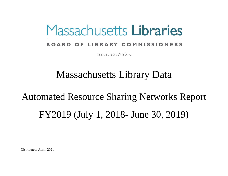# Massachusetts Libraries

# **BOARD OF LIBRARY COMMISSIONERS**

 $mass.gov/mble$ 

# Massachusetts Library Data

# Automated Resource Sharing Networks Report FY2019 (July 1, 2018- June 30, 2019)

Distributed: April, 2021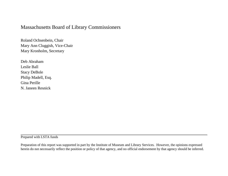### Massachusetts Board of Library Commissioners

Roland Ochsenbein, Chair Mary Ann Cluggish, Vice-Chair Mary Kronholm, Secretary

Deb Abraham Leslie Ball Stacy DeBole Philip Madell, Esq. Gina Perille N. Janeen Resnick

Prepared with LSTA funds

Preparation of this report was supported in part by the Institute of Museum and Library Services. However, the opinions expressed herein do not necessarily reflect the position or policy of that agency, and no official endorsement by that agency should be inferred.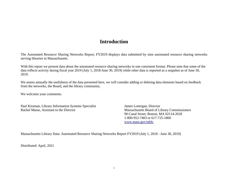### **Introduction**

The Automated Resource Sharing Networks Report, FY2019 displays data submitted by nine automated resource sharing networks serving libraries in Massachusetts.

With this report we present data about the automated resource sharing networks in one consistent format. Please note that some of the data reflects activity during fiscal year 2019 (July 1, 2018-June 30, 2019) while other data is reported as a snapshot as of June 30, 2019.

We assess annually the usefulness of the data presented here, we will consider adding or deleting data elements based on feedback from the networks, the Board, and the library community.

We welcome your comments.

Paul Kissman, Library Information Systems Specialist James Lonergan, Director Rachel Masse, Assistant to the Director Massachusetts Board of Library Commissioners

90 Canal Street, Boston, MA 02114-2018 1-800-952-7403 or 617-725-1860 [www.mass.gov/mblc](http://www.mass.gov/mblc)

Massachusetts Library Data: Automated Resource Sharing Networks Report FY2019 (July 1, 2018 - June 30, 2019)

Distributed: April, 2021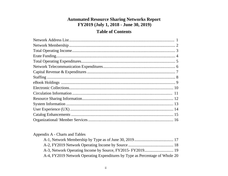#### **Automated Resource Sharing Networks Report** FY2019 (July 1, 2018 - June 30, 2019)

### **Table of Contents**

#### Appendix A - Charts and Tables

| A-4, FY2019 Network Operating Expenditures by Type as Percentage of Whole 20 |  |
|------------------------------------------------------------------------------|--|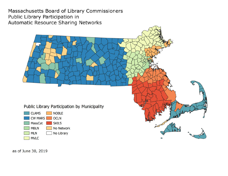Massachusetts Board of Library Commissioners Public Library Participation in Automatic Resource Sharing Networks



as of June 30, 2019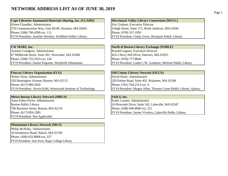#### **NETWORK ADDRESS LIST AS OF JUNE 30, 2019**

**Cape Libraries Automated Materials Sharing, Inc. (CLAMS) Merrimack Valley Library Consortium (MVLC)** Eileen Chandler, Administrator Eric Graham, Executive Director 270 Communication Way, Unit 4E/4F, Hyannis, MA 02601  $\vert$  4 High Street, Suite 175, North Andover, MA 01845 Phone: (508) 790-4399 ext. 111 Phone: (978) 557-1050 FY19 President: Jennifer Wertkin, Wellfleet Public Library FY19 President: Cindy Grove, Rockport Public Library

Jeanette Lundgren, Administrator Ronald Gagnon, Executive Director 67 Millbrook Street, Suite 201, Worcester, MA 01606 42A Cherry Hill Drive, Danvers, MA 01923 Phone: (508) 755-3323 ext. 120 Phone: (978) 777-8844

Walter Stine, Administrator and David Slater, Administrator **David Slater**, Administrator 550 Huntington Avenue, Boston, MA 02115 220 Forbes Road, Suite 401, Braintree, MA 02184 Phone: (617) 989-5020 **Phone:** (617) 989-5020

# **Metro-Boston Library Network (MBLN)**<br> **SAILS, Inc.**<br> **SAILS, Inc.**<br> **SAILS, Inc.**<br> **SAILS, Inc.**<br> **SAILS, Inc.**

Anna Fahey-Flynn, Administrator 700 Boylston Street, Boston, MA 02116 Phone: (508) 946-8600 ext. 211 FY19 President: Not Applicable

#### **Minuteman Library Network (MLN)**

Philip McNulty, Administrator 10 Strathmore Road, Natick, MA 01760 Phone: (508) 655-8008 ext. 237 FY19 President: Jane Peck, Regis College Library

# **CW MARS, Inc. North of Boston Library Exchange (NOBLE)** FY19 President: Daniel Paquette, Westfield Athenaeum FY19 President: Linda C.W. Gardener, Melrose Public Library

#### **Fenway Library Organization (FLO) Colony Library Network (OCLN)**

FY19 President: Kevin Kidd, Wentworth Institute of Technology FY19 President: Megan Allen, Thomas Crane Public Library, Quincy

Boston Public Library 10 Riverside Drive, Suite 102, Lakeville, MA 02347 Phone: (617) 859-2385 FY19 President: Jayme Viveiros, Lakeville Public Library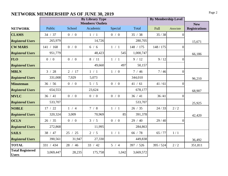# **NETWORK MEMBERSHIP AS OF JUNE 30, 2019** Page 2

|                                         |           |         | <b>By Library Type</b>  |         |           | <b>By Membership Level</b> |                  |                      |
|-----------------------------------------|-----------|---------|-------------------------|---------|-----------|----------------------------|------------------|----------------------|
|                                         |           |         | <b>Members/ Outlets</b> |         |           |                            |                  | <b>New</b>           |
| <b>NETWORK</b>                          | Public    | School  | Academic                | Special | Total     | Full                       | Associate        | <b>Registrations</b> |
| <b>CLAMS</b>                            | 34 / 37   | 0/0     | 1/1                     | 0/0     | 35 / 38   | 35/38                      | $\overline{0}$   |                      |
| <b>Registered Users</b>                 | 265,979   |         | 14,726                  |         | 280,705   |                            |                  | 15,671               |
| <b>CW MARS</b>                          | 141 / 168 | 0/0     | 6/6                     | $1/1$   | 148 / 175 | 148 / 175                  | $\boldsymbol{0}$ |                      |
| <b>Registered Users</b>                 | 951,779   |         | 48,423                  | 545     | 1,000,747 |                            |                  | 66,186               |
| <b>FLO</b>                              | 0/0       | 0/0     | 8/11                    | 1/1     | 9/12      | 9/12                       | $\theta$         |                      |
| <b>Registered Users</b>                 |           |         | 49,660                  | 497     | 50,157    |                            |                  |                      |
| <b>MBLN</b>                             | 3 / 28    | 2 / 17  | 1/1                     | 1/0     | 7/46      | 7/46                       | $\overline{0}$   |                      |
| <b>Registered Users</b>                 | 331,008   | 7,929   | 5,073                   |         | 344,010   |                            |                  | 96,210               |
| <b>Minuteman</b>                        | 36 / 56   | 0/0     | 5/5                     | 0/0     | 41 / 61   | 41/61                      | $\overline{0}$   |                      |
| <b>Registered Users</b>                 | 654,553   |         | 23,624                  |         | 678,177   |                            |                  | 68,907               |
| <b>MVLC</b>                             | 36 / 41   | 0/0     | 0/0                     | 0/0     | 36 / 41   | 36/41                      | $\overline{0}$   |                      |
| <b>Registered Users</b>                 | 533,707   |         |                         |         | 533,707   |                            |                  | 25,925               |
| <b>NOBLE</b>                            | 17 / 22   | 1/4     | 7/8                     | 1 / 1   | 26 / 35   | 24/33                      | 2/2              |                      |
| <b>Registered Users</b>                 | 320,324   | 3,009   | 70,969                  | 85      | 391,378   |                            |                  | 42,420               |
| <b>OCLN</b>                             | 26 / 35   | 0/0     | 3 / 5                   | 0/0     | 29/40     | 29/40                      | $\Omega$         |                      |
| <b>Registered Users</b>                 | 272,868   |         | 11,995                  |         | 284,863   |                            |                  |                      |
| <b>SAILS</b>                            | 38 / 47   | 25 / 25 | 2/5                     | 1 / 1   | 66 $/78$  | 65 / 77                    | 1/1              |                      |
| <b>Registered Users</b>                 | 390,561   | 31,947  | 27,330                  |         | 449,838   |                            |                  | 36,492               |
| <b>TOTAL</b>                            | 331 / 434 | 28 / 46 | 33 / 42                 | 5/4     | 397 / 526 | 395 / 524                  | 2/2              | 351,811              |
| <b>Total Registered</b><br><b>Users</b> | 3,069,447 | 28,235  | 175,758                 | 1,042   | 3,669,572 |                            |                  |                      |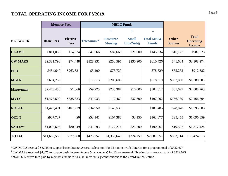# **Page 3 <b>Page 3 Page 3 Page 3 Page 3 Page 3**

|                  | <b>Member Fees</b>                                  |           |                  | <b>MBLC Funds</b>                 |                            |                                   |                                |                                                   |
|------------------|-----------------------------------------------------|-----------|------------------|-----------------------------------|----------------------------|-----------------------------------|--------------------------------|---------------------------------------------------|
|                  |                                                     |           |                  | $+$                               | $+$                        | $\equiv$                          |                                |                                                   |
| <b>NETWORK</b>   | <b>Elective</b><br><b>Basic Fees</b><br><b>Fees</b> |           | <b>Telecomm*</b> | <b>Resource</b><br><b>Sharing</b> | <b>Small</b><br>Libs/Nets§ | <b>Total MBLC</b><br><b>Funds</b> | <b>Other</b><br><b>Sources</b> | <b>Total</b><br><b>Operating</b><br><b>Income</b> |
| <b>CLAMS</b>     | \$811,038                                           | \$14,924  | \$41,566         | \$82,668                          | \$21,000                   | \$145,234                         | \$16,727                       | \$987,923                                         |
| <b>CW MARS</b>   | \$2,381,796                                         | \$74,448  | \$128,931        | \$250,595                         | \$230,900                  | \$610,426                         | \$41,604                       | \$3,108,274                                       |
| <b>FLO</b>       | \$484,640                                           | \$263,631 | \$5,100          | \$73,729                          |                            | \$78,829                          | \$85,282                       | \$912,382                                         |
| <b>MBLN</b>      | \$664,232                                           |           | \$17,613         | \$200,606                         |                            | \$218,219                         | \$397,850                      | \$1,280,301                                       |
| <b>Minuteman</b> | \$2,473,458                                         | \$1,066   | \$59,225         | \$233,387                         | \$10,000                   | \$302,612                         | \$31,627                       | \$2,808,763                                       |
| <b>MVLC</b>      | \$1,477,690                                         | \$335,823 | \$41,933         | 117,469                           | \$37,600                   | \$197,002                         | \$156,189                      | \$2,166,704                                       |
| <b>NOBLE</b>     | \$1,428,401                                         | \$107,219 | \$34,950         | \$146,535                         |                            | \$181,485                         | \$78,878                       | \$1,795,983                                       |
| <b>OCLN</b>      | \$907,727                                           | \$0       | \$53,141         | \$107,386                         | \$3,150                    | \$163,677                         | \$25,455                       | \$1,096,859                                       |
| SAILS**          | \$1,027,606                                         | \$80,249  | \$41,293         | \$127,274                         | \$21,500                   | \$190,067                         | \$19,502                       | \$1,317,424                                       |
| <b>TOTAL</b>     | \$11,656,588                                        | \$877,360 | \$423,752        | \$1,339,649                       | \$324,150                  | \$2,087,551                       | \$853,114                      | \$15,474,613                                      |

\*\*SAILS Elective fees paid by members includes \$13,505 in voluntary contributions to the Overdrive collection. § CW MARS received \$4,875 to support basic Interne Access (management) for 13 non-network libraries for a program total of \$329,025 \*CW MARS received \$8,925 to support basic Internet Access (telecomm) for 13 non-network libraries for a program total of \$432,677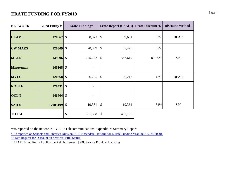# **ERATE FUNDING FOR FY2019** Page 4

| <b>NETWORK</b>   | <b>Billed Entity #</b> | <b>Erate Funding*</b>    | <b>Erate Report (USAC)§ Erate Discount %</b> |        | <b>Discount Method+</b> |
|------------------|------------------------|--------------------------|----------------------------------------------|--------|-------------------------|
| <b>CLAMS</b>     | 120667 \$              | 8,373                    | \$<br>9,651                                  | 63%    | <b>BEAR</b>             |
| <b>CW MARS</b>   | 120309 \$              | 70,399                   | \$<br>67,429                                 | 67%    |                         |
| <b>MBLN</b>      | 149096 \$              | 275,242                  | \$<br>357,619                                | 80-90% | <b>SPI</b>              |
| <b>Minuteman</b> | $146168$ \$            |                          |                                              |        |                         |
| <b>MVLC</b>      | 120368 \$              | 26,795                   | \$<br>26,217                                 | 47%    | <b>BEAR</b>             |
| <b>NOBLE</b>     | $120431$ \$            |                          |                                              |        |                         |
| <b>OCLN</b>      | $146604$ \$            | $\overline{\phantom{a}}$ |                                              |        |                         |
| <b>SAILS</b>     | 17003109 \$            | 19,361                   | \$<br>19,361                                 | 54%    | <b>SPI</b>              |
| <b>TOTAL</b>     |                        | \$<br>321,398            | \$<br>403,198                                |        |                         |

\*As reported on the network's FY2019 Telecommunications Expenditure Summary Report.

[§ As reported on Schoo](https://opendata.usac.org/E-rate/E-rate-Request-for-Discount-on-Services-FRN-Status/qdmp-ygft)ls and Libraries Division (SLD) Opendata Platform for E-Rate Funding Year 2018 (2/24/2020). ["E-rate Request for Dis](https://opendata.usac.org/E-rate/E-rate-Request-for-Discount-on-Services-FRN-Status/qdmp-ygft)count on Services: FRN Status"

† BEAR: Billed Entity Application Reimbursement | SPI: Service Provider Invoicing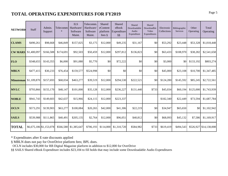# **TOTAL OPERATING EXPENDITURES FOR FY2019** Page 5

| <b>NETWORK</b>   | Staff       | Admin.<br>Support       | Telecomm<br>$\ast$ | <b>ILS</b><br>Hardware/<br>Software<br>Maint. | Telecomm.<br>Hardware<br>Software<br>Maint. | Shared<br>eContent<br>platform<br>fees $\S$ | Shared<br>eBook<br>Expenditure<br>$\S\S$ | Shared<br>Downloadable<br>Audio<br>Expenditure | Shared<br>Downloadble<br>Video<br>Expenditures | Electronic<br>Collections | Bibliographic<br>Services | Other<br>Operating | Total<br>Operating     |
|------------------|-------------|-------------------------|--------------------|-----------------------------------------------|---------------------------------------------|---------------------------------------------|------------------------------------------|------------------------------------------------|------------------------------------------------|---------------------------|---------------------------|--------------------|------------------------|
| <b>CLAMS</b>     | \$490,261   | \$98,668                | \$46,849           | \$157,025                                     | \$3,175                                     | \$12,000                                    | \$49,235                                 | \$31,167                                       | \$0                                            | \$53,292                  | \$23,448                  | \$53,328           | \$1,018,448            |
| <b>CW MARS</b>   | \$1,400,097 | \$166,588               | \$174,691          | \$92,503                                      | \$50,459                                    | \$12,000                                    | \$297,812                                | \$136,823                                      | \$0                                            | \$63,433                  | \$108,970                 | \$38,282           | \$2,541,658            |
| <b>FLO</b>       | \$348,655   | \$143,355               | \$6,000            | \$91,080                                      | \$5,770                                     | \$0                                         | \$72,222                                 | \$0                                            | \$0                                            | \$3,000                   | \$0                       | \$133,192          | \$803,274              |
| <b>MBLN</b>      | \$477,415   | \$30,233                | \$76,454           | \$159,577                                     | \$524,998                                   | \$0                                         | \$0                                      | \$0                                            | \$0                                            | \$45,000                  | \$23,108                  | \$10,700           | \$1,347,485            |
| <b>Minuteman</b> | \$1,109,870 | \$157,693               | \$68,034           | \$463,277                                     | \$39,519                                    | \$12,000                                    | \$294,530                                | \$222,521                                      | \$0                                            | \$124,280                 | \$145,592                 | \$85,245           | \$2,722,561            |
| <b>MVLC</b>      | \$793,866   | \$155,170               | \$48,147           | \$101,000                                     | \$35,128                                    | \$12,000                                    | \$236,227                                | \$131,440                                      | \$733                                          | \$45,034                  | \$60,194                  | \$125,000          | \$1,743,939            |
| <b>NOBLE</b>     | \$941,743   | \$149,603               | \$42,637           | \$15,966                                      | \$24,115                                    | \$12,000                                    | \$223,337                                |                                                |                                                | \$182,340                 | \$22,449                  | \$73,594           | \$1,687,784            |
| <b>OCLN</b>      | \$573,291   | \$139,903               | \$63,277           | \$100,084                                     | \$20,265                                    | \$42,000                                    | \$41,306                                 | \$22,219                                       | \$0                                            | \$34,947                  | \$65,650                  | <b>\$0</b>         | \$1,102,942            |
| <b>SAILS</b>     | \$539,988   | \$111,865               | \$40,491           | \$205,135                                     | \$2,764                                     | \$12,000                                    | \$96,051                                 | \$40,812                                       | \$0                                            | \$68,093                  | \$45,132                  | \$7,586            | \$1,169,917            |
| <b>TOTAL</b>     |             | \$6,675,186 \$1,153,078 |                    | \$566,580 \$1,385,647                         | \$706,193                                   | \$114,000                                   | \$1,310,720                              | \$584,982                                      | \$733                                          | \$619,419                 | \$494,543                 |                    | \$526,927 \$14,138,008 |

\* Expenditutes after E-rate discounts applied

§ MBLN does not pay for OverDrive platform fees; BPL does.

OCLN includes \$30,000 for RB Digital Magazine platform in addition to \$12,000 for OverDrive

§§ SAILS Shared eBook Expenditure includes \$23,104 to fill holds that may include some Downloadable Audio Expenditures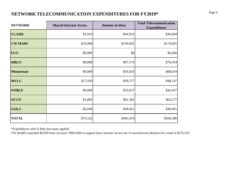# **NETWORK TELECOMMUNICATION EXPENDITURES FOR FY2019\*** Page 6

| <b>NETWORK</b>   | <b>Shared Internet Access</b> | <b>Remote-to-Host</b> | <b>Total Telecommunication</b><br><b>Expenditures</b> |  |  |
|------------------|-------------------------------|-----------------------|-------------------------------------------------------|--|--|
| <b>CLAMS</b>     | \$1,916                       | \$44,933              | \$46,849                                              |  |  |
| <b>CW MARS</b>   | \$18,000                      | \$156,691             | \$174,691                                             |  |  |
| <b>FLO</b>       | \$6,000                       | \$0                   | \$6,000                                               |  |  |
| <b>MBLN</b>      | \$8,880                       | \$67,574              | \$76,454                                              |  |  |
| <b>Minuteman</b> | \$9,000                       | \$59,034              | \$68,034                                              |  |  |
| <b>MVLC</b>      | \$17,430                      | \$30,717              | \$48,147                                              |  |  |
| <b>NOBLE</b>     | \$9,000                       | \$33,637              | \$42,637                                              |  |  |
| <b>OCLN</b>      | \$1,895                       | \$61,382              | \$63,277                                              |  |  |
| <b>SAILS</b>     | \$2,040                       | \$38,451              | \$40,491                                              |  |  |
| <b>TOTAL</b>     | \$74,161                      | \$492,419             | \$566,580                                             |  |  |

\*Expenditures after E-Rate discounts applied.

CW MARS expended \$9,930 from Account 7000-9506 to support basic Internet Access for 13 non-network libraries for a total of \$576,510.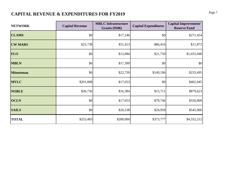# **CAPITAL REVENUE & EXPENDITURES FOR FY2019** Page 7

| <b>NETWORK</b>   | <b>Capital Revenue</b> | <b>MBLC Infrastructure</b><br><b>Grants (9506)</b> | <b>Capital Expenditures</b> | <b>Capital Improvement/</b><br><b>Reserve Fund</b> |
|------------------|------------------------|----------------------------------------------------|-----------------------------|----------------------------------------------------|
| <b>CLAMS</b>     | \$0                    | \$17,146                                           | \$0                         | \$271,454                                          |
| <b>CW MARS</b>   | \$25,739               | \$51,413                                           | \$86,416                    | \$11,872                                           |
| <b>FLO</b>       | \$0                    | \$13,084                                           | \$21,750                    | \$1,655,948                                        |
| <b>MBLN</b>      | \$0                    | \$17,399                                           | \$0                         | \$0                                                |
| <b>Minuteman</b> | \$0                    | \$22,730                                           | \$140,196                   | \$233,495                                          |
| <b>MVLC</b>      | \$201,008              | \$17,653                                           | \$0                         | \$402,945                                          |
| <b>NOBLE</b>     | \$26,736               | \$16,384                                           | \$15,711                    | \$879,623                                          |
| <b>OCLN</b>      | \$0                    | \$17,653                                           | \$79,746                    | \$550,909                                          |
| <b>SAILS</b>     | \$0                    | \$26,538                                           | \$29,958                    | \$545,966                                          |
| <b>TOTAL</b>     | \$253,483              | \$200,000                                          | \$373,777                   | \$4,552,212                                        |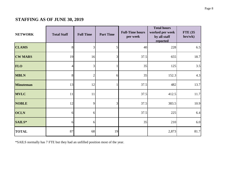# **STAFFING AS OF JUNE 30, 2019**

| <b>NETWORK</b><br><b>Total Staff</b> |    | <b>Full Time</b> | <b>Part Time</b> | <b>Full-Time hours</b><br>per week | <b>Total hours</b><br>worked per week<br>by all staff<br>reported | <b>FTE</b> (35<br>hrs/wk) |
|--------------------------------------|----|------------------|------------------|------------------------------------|-------------------------------------------------------------------|---------------------------|
| <b>CLAMS</b>                         | 8  | 3                | 5                | 40                                 | 228                                                               | 6.5                       |
| <b>CW MARS</b>                       | 19 | 16               | 3                | 37.5                               | 655                                                               | 18.7                      |
| <b>FLO</b>                           | 4  | 3 <sup>l</sup>   |                  | 35                                 | 125                                                               | 3.5                       |
| <b>MBLN</b>                          | 8  | $\overline{2}$   | 6                | 35                                 | 152.3                                                             | 4.3                       |
| <b>Minuteman</b>                     | 13 | 12               |                  | 37.5                               | 482                                                               | 13.7                      |
| <b>MVLC</b>                          | 11 | 11               |                  | 37.5                               | 412.5                                                             | 11.7                      |
| <b>NOBLE</b>                         | 12 | 9                | 3                | 37.5                               | 383.5                                                             | 10.9                      |
| <b>OCLN</b>                          | 6  | 6                |                  | 37.5                               | 225                                                               | 6.4                       |
| SAILS*                               | 61 | 6                |                  | 35                                 | 210                                                               | 6.0                       |
| <b>TOTAL</b>                         | 87 | 68               | 19               |                                    | 2,873                                                             | 81.7                      |

\*SAILS normally has 7 FTE but they had an unfilled position most of the year.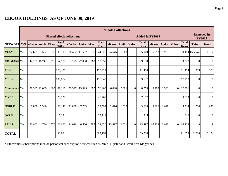# **EBOOK HOLDINGS AS OF JUNE 30, 2019**

|                      | eBook Collections |                    |                     |     |                               |                                 |               |           |                              |                        |       |          |                               |                    |       |                |                                    |                |                |
|----------------------|-------------------|--------------------|---------------------|-----|-------------------------------|---------------------------------|---------------|-----------|------------------------------|------------------------|-------|----------|-------------------------------|--------------------|-------|----------------|------------------------------------|----------------|----------------|
|                      |                   |                    |                     |     |                               | <b>Shared eBook collections</b> |               |           |                              | <b>Added in FY2019</b> |       |          |                               |                    |       |                | <b>Removed in</b><br><b>FY2019</b> |                |                |
| <b>NETWORK</b>       | Y/N               | eBooks Audio Video |                     |     | <b>Total</b><br><b>Titles</b> | eBooks Audio Video              |               |           | <b>Total</b><br><b>Items</b> | eBooks Audio Video     |       |          | <b>Total</b><br><b>Titles</b> | eBooks Audio Video |       |                | <b>Total</b><br><b>Items</b>       | <b>Titles</b>  | <b>Items</b>   |
| <b>CLAMS</b>         | Yes               | 22,635             | 7,502               | 56  | 30,193                        |                                 | 36,462 11,507 | <b>56</b> | 44,025                       | 4,646                  | 1,283 |          | 5,929                         | 6,593              | 1,901 |                |                                    | 8,494 Unknowi  | 1,152          |
| <b>CW MARS</b> Yes   |                   |                    | 42,229 10,742 1,217 |     | 54,188                        | 67,275                          | 22,008 1,269  |           | 90,552                       |                        |       |          | 9,150                         |                    |       |                | 9,328                              | $\theta$       | $\overline{0}$ |
| <b>FLO</b>           | Yes               |                    |                     |     | 170,427                       |                                 |               |           | 170,427                      |                        |       |          | 11,454                        |                    |       |                | 11,454                             | 303            | 303            |
| <b>MBLN</b>          | No                |                    |                     |     | 100,874                       |                                 |               |           | 175,643                      |                        |       |          | 9,637                         |                    |       |                | 17,190                             | $\overline{0}$ | $\overline{0}$ |
| <b>Minuteman</b> Yes |                   |                    | 38,367 12,089       |     | 660 51,116                    | 56,347                          | 19,929        | 687       | 76,963                       | 6,698                  | 2,081 | $\theta$ | 8,779                         | 9,409              | 3,582 | $\Omega$       | 12,991                             | $\Omega$       | $\overline{0}$ |
| <b>MVLC</b>          | Yes               |                    |                     |     | 29,122                        |                                 |               |           | 46,260                       |                        |       |          | 7,107                         |                    |       |                | 9,633                              | $\Omega$       | $\overline{0}$ |
| <b>NOBLE</b>         | Yes               | 16,808             | 5,340               |     | 22,148                        | 21,889                          | 7,703         |           | 29,592                       | 2,616                  | 1,022 |          | 3,638                         | 3,866              | 1,648 |                | 5,514                              | 1,716          | 4,690          |
| <b>OCLN</b>          | Yes               |                    |                     |     | 17,234                        |                                 |               |           | 27,711                       |                        |       |          | 545                           |                    |       |                | 846                                | $\Omega$       | $\overline{0}$ |
| <b>SAILS</b>         | Yes               | 23,602             | 4,736               | 576 | 23,602                        | 34,026                          | 6,506         | 585       | 34,026                       | 13,497                 | 2,031 | $\Omega$ | 13,497                        | 16,229             | 2,640 | $\overline{0}$ | 16,229                             | 9              | 9              |
| <b>TOTAL</b>         |                   |                    |                     |     | 498,904                       |                                 |               |           | 695,199                      |                        |       |          | 69,736                        |                    |       |                | 91,679                             | 2,028          | 6,154          |

\* Electronics subscriptions include periodical subscription services such as Zinio, Flipster and OverDrive Magazines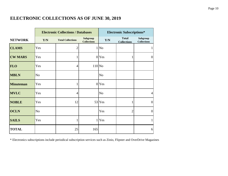# **ELECTRONIC COLLECTIONS AS OF JUNE 30, 2019**

|                  |                | <b>Electronic Collections / Databases</b> |                                       |                         | <b>Electronic Subscriptions*</b>   |                                |
|------------------|----------------|-------------------------------------------|---------------------------------------|-------------------------|------------------------------------|--------------------------------|
| <b>NETWORK</b>   | Y/N            | <b>Total Collections</b>                  | <b>Subgroup</b><br><b>Collections</b> | $\mathbf{Y}/\mathbf{N}$ | <b>Total</b><br><b>Collections</b> | Subgroup<br><b>Collections</b> |
| <b>CLAMS</b>     | Yes            | $\overline{2}$                            |                                       | 1 No                    |                                    |                                |
| <b>CW MARS</b>   | Yes            |                                           |                                       | 0 Yes                   | 1                                  | $\overline{0}$                 |
| <b>FLO</b>       | Yes            | $\overline{4}$                            | $110$ No                              |                         |                                    |                                |
| <b>MBLN</b>      | N <sub>o</sub> |                                           |                                       | N <sub>o</sub>          |                                    |                                |
| <b>Minuteman</b> | Yes            | 1                                         |                                       | 0 <sub>Yes</sub>        |                                    |                                |
| <b>MVLC</b>      | Yes            | $\overline{4}$                            |                                       | N <sub>o</sub>          |                                    | $\overline{4}$                 |
| <b>NOBLE</b>     | Yes            | 12                                        |                                       | 53 Yes                  | 1                                  | $\boldsymbol{0}$               |
| <b>OCLN</b>      | N <sub>o</sub> |                                           |                                       | Yes                     | $\overline{2}$                     | $\overline{0}$                 |
| <b>SAILS</b>     | Yes            |                                           | $\mathbf{1}$                          | Yes                     |                                    |                                |
| <b>TOTAL</b>     |                | 25                                        | 165                                   |                         |                                    | 6                              |

\* Electronics subscriptions include periodical subscription services such as Zinio, Flipster and OverDrive Magazines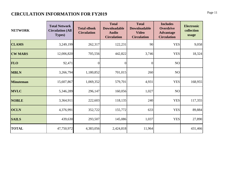# **CIRCULATION INFORMATION FOR FY2019** Page 11

| <b>NETWORK</b>   | <b>Total Network</b><br><b>Circulation (All</b><br><b>Types</b> ) | <b>Total eBook</b><br><b>Circulation</b> | <b>Total</b><br><b>Downloadable</b><br><b>Audio</b><br><b>Circulation</b> | <b>Total</b><br><b>Downloadable</b><br><b>Video</b><br><b>Circulation</b> | <b>Includes</b><br><b>Overdrive</b><br><b>Advantage</b><br><b>Circulation</b> | <b>Electronic</b><br>collection<br>usage |
|------------------|-------------------------------------------------------------------|------------------------------------------|---------------------------------------------------------------------------|---------------------------------------------------------------------------|-------------------------------------------------------------------------------|------------------------------------------|
| <b>CLAMS</b>     | 3,249,199                                                         | 262,317                                  | 122,231                                                                   | 90                                                                        | <b>YES</b>                                                                    | 9,058                                    |
| <b>CW MARS</b>   | 12,006,820                                                        | 705,556                                  | 442,822                                                                   | 3,746                                                                     | <b>YES</b>                                                                    | 18,324                                   |
| <b>FLO</b>       | 92,471                                                            | $\vert 0 \vert$                          | $\boldsymbol{0}$                                                          | $\overline{0}$                                                            | NO                                                                            |                                          |
| <b>MBLN</b>      | 3,266,794                                                         | 1,180,852                                | 701,015                                                                   | 260                                                                       | NO                                                                            |                                          |
| <b>Minuteman</b> | 15,607,867                                                        | 1,069,352                                | 579,701                                                                   | 4,931                                                                     | <b>YES</b>                                                                    | 168,955                                  |
| <b>MVLC</b>      | 5,346,289                                                         | 296,147                                  | 160,056                                                                   | 1,027                                                                     | NO <sub>1</sub>                                                               |                                          |
| <b>NOBLE</b>     | 3,364,911                                                         | 222,603                                  | 118,135                                                                   | 240                                                                       | <b>YES</b>                                                                    | 117,355                                  |
| <b>OCLN</b>      | 4,376,991                                                         | 352,722                                  | 155,772                                                                   | 633                                                                       | <b>YES</b>                                                                    | 89,884                                   |
| <b>SAILS</b>     | 439,630                                                           | 293,507                                  | 145,086                                                                   | 1,037                                                                     | <b>YES</b>                                                                    | 27,890                                   |
| <b>TOTAL</b>     | 47,750,972                                                        | 4,383,056                                | 2,424,818                                                                 | 11,964                                                                    |                                                                               | 431,466                                  |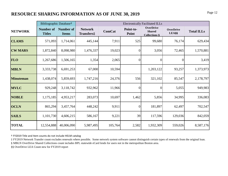# **RESOURCE SHARING INFORMATION AS OF JUNE 30, 2019** Page 12

|                  | Bibliographic Database <sup>+</sup> |                                  | <b>Electronically Facilitated ILLs</b>   |               |                    |                                                           |                                  |                   |  |  |  |  |  |
|------------------|-------------------------------------|----------------------------------|------------------------------------------|---------------|--------------------|-----------------------------------------------------------|----------------------------------|-------------------|--|--|--|--|--|
| <b>NETWORK</b>   | <b>Number of</b><br><b>Titles</b>   | <b>Number of</b><br><b>Items</b> | <b>Network</b><br>Transfers <sup>†</sup> | <b>ComCat</b> | Point-to-<br>Point | <b>OverDrive</b><br><b>Shared</b><br><b>Collections §</b> | <b>OverDrive</b><br><b>LEA§§</b> | <b>Total ILLs</b> |  |  |  |  |  |
| <b>CLAMS</b>     | 571,093                             | 1,714,061                        | 445,144                                  | 7,911         | 525                | 99,680                                                    | 76,174                           | 629,434           |  |  |  |  |  |
| <b>CW MARS</b>   | 1,872,840                           | 8,098,980                        | 1,476,337                                | 19,023        | $\overline{0}$     | 3,056                                                     | 72,465                           | 1,570,881         |  |  |  |  |  |
| <b>FLO</b>       | 1,267,686                           | 1,506,165                        | 1,354                                    | 2,065         | $\overline{0}$     | $\theta$                                                  | $\Omega$                         | 3,419             |  |  |  |  |  |
| <b>MBLN</b>      | 3,333,738                           | 6,691,253                        | 67,000                                   | 10,594        |                    | 1,203,122                                                 | 93,257                           | 1,373,973         |  |  |  |  |  |
| <b>Minuteman</b> | 1,438,074                           | 5,859,693                        | 1,747,216                                | 24,376        | 556                | 321,102                                                   | 85,547                           | 2,178,797         |  |  |  |  |  |
| <b>MVLC</b>      | 929,248                             | 3,118,742                        | 932,962                                  | 11,966        | $\theta$           | $\overline{0}$                                            | 5,055                            | 949,983           |  |  |  |  |  |
| <b>NOBLE</b>     | 1,175,185                           | 4,953,217                        | 283,073                                  | 10,697        | 1,462              | 5,856                                                     | 34,995                           | 336,083           |  |  |  |  |  |
| <b>OCLN</b>      | 865,294                             | 3,457,764                        | 448,242                                  | 9,911         | $\overline{0}$     | 181,897                                                   | 62,497                           | 702,547           |  |  |  |  |  |
| <b>SAILS</b>     | 1,101,730                           | 4,606,215                        | 586,167                                  | 9,221         | 39                 | 117,596                                                   | 129,036                          | 842,059           |  |  |  |  |  |
| <b>TOTAL</b>     | 12,554,888                          | 40,006,090                       | 5,987,495                                | 105,764       | 2,582              | 1,932,309                                                 | 559,026                          | 8,587,176         |  |  |  |  |  |

† FY2019 Title and Item counts do not include HELM catalog

‡ FY2019 Network Transfer count excludes renewals where possible. Some network system software cannot distinguish certain types of renewals from the original loan.

§ MBLN OverDrive Shared Collections count includes BPL statewide eCard lends for users not in the metropolitan Boston area.

§§ OverDrive LEA Count new for FY2019 report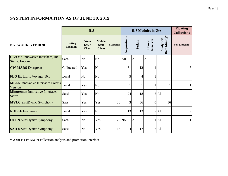# **SYSTEM INFORMATION AS OF JUNE 30, 2019**

|                                                            |                                   | <b>ILS</b>                            |                                                |           |              |                | <b>ILS Modules in Use</b> |                            | <b>Floating</b><br><b>Collections</b> |
|------------------------------------------------------------|-----------------------------------|---------------------------------------|------------------------------------------------|-----------|--------------|----------------|---------------------------|----------------------------|---------------------------------------|
| <b>NETWORK/ VENDOR</b>                                     | <b>Hosting</b><br><b>Location</b> | Web-<br><b>based</b><br><b>Client</b> | <b>Mobile</b><br><b>Staff</b><br><b>Client</b> | # Members | Acquisitions | <b>Serials</b> | Reserves<br>Course        | Data Mining*<br>Analytics/ | # of Libraries                        |
| <b>CLAMS</b> Innovative Interfaces, Inc.<br>Sierra, Encore | SaaS                              | N <sub>o</sub>                        | N <sub>0</sub>                                 |           | All          | All            | All                       |                            |                                       |
| <b>CW MARS</b> Evergreen                                   | Collocated                        | Yes                                   | N <sub>o</sub>                                 |           | 31           | 12             |                           |                            | 7 <sup>1</sup>                        |
| <b>FLO</b> Ex Libris Voyager 10.0                          | Local                             | N <sub>o</sub>                        | N <sub>o</sub>                                 |           | 5            | 4              | 8                         |                            |                                       |
| <b>MBLN</b> Innovative Interfaces Polaris<br>Version       | Local                             | Yes                                   | N <sub>o</sub>                                 |           |              |                |                           |                            | $\mathbf{1}$                          |
| <b>Minuteman</b> Innovative Interfaces-<br>Sierra          | SaaS                              | Yes                                   | N <sub>o</sub>                                 |           | 24           | 18             |                           | $5$ All                    |                                       |
| <b>MVLC</b> SirsiDynix/ Symphony                           | <b>Saas</b>                       | Yes                                   | Yes                                            | 36        | 3            | 36             | $\overline{0}$            | 36                         |                                       |
| <b>NOBLE</b> Evergreen                                     | Local                             | Yes                                   | N <sub>o</sub>                                 |           | 13           | 13             |                           | 7 All                      | $\overline{2}$                        |
| <b>OCLN</b> SirsiDynix/ Symphony                           | SaaS                              | N <sub>o</sub>                        | Yes                                            |           | $23$ No      | All            |                           | All                        | $\mathbf{1}$                          |
| <b>SAILS</b> SirsiDynix/ Symphony                          | SaaS                              | N <sub>o</sub>                        | Yes                                            | 13        | 4            | 17             |                           | $2$ All                    |                                       |

\*NOBLE List Maker collection analysis and promotion interface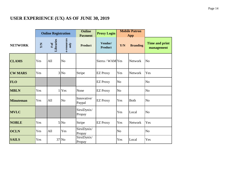# **USER EXPERIENCE (UX) AS OF JUNE 30, 2019**

|                  |            | <b>Online Registration</b> |                     | <b>Online</b><br><b>Payment</b> | <b>Proxy Login</b>        |                | <b>Mobile Patron</b><br><b>App</b> |                                     |
|------------------|------------|----------------------------|---------------------|---------------------------------|---------------------------|----------------|------------------------------------|-------------------------------------|
| <b>NETWORK</b>   | <b>N/A</b> | Libraries<br># of          | e-resources<br>only | <b>Product</b>                  | Vendor/<br><b>Product</b> | Y/N            | <b>Branding</b>                    | <b>Time and print</b><br>management |
| <b>CLAMS</b>     | Yes        | All                        | N <sub>o</sub>      |                                 | Sierra / WAM Yes          |                | <b>Network</b>                     | N <sub>o</sub>                      |
| <b>CW MARS</b>   | Yes        |                            | $3$ No              | Stripe                          | <b>EZ Proxy</b>           | Yes            | <b>Network</b>                     | Yes                                 |
| <b>FLO</b>       |            |                            |                     |                                 | <b>EZ Proxy</b>           | N <sub>o</sub> |                                    | N <sub>o</sub>                      |
| <b>MBLN</b>      | Yes        | 1                          | Yes                 | None                            | <b>EZ Proxy</b>           | N <sub>o</sub> |                                    | N <sub>o</sub>                      |
| <b>Minuteman</b> | Yes        | All                        | N <sub>o</sub>      | Innovative/<br>Paypal           | <b>EZ Proxy</b>           | Yes            | <b>Both</b>                        | N <sub>o</sub>                      |
| <b>MVLC</b>      |            |                            |                     | SirsiDynix/<br>Propay           |                           | Yes            | Local                              | N <sub>o</sub>                      |
| <b>NOBLE</b>     | Yes        |                            | 5 No                | Stripe                          | <b>EZ Proxy</b>           | Yes            | <b>Network</b>                     | Yes                                 |
| <b>OCLN</b>      | Yes        | All                        | Yes                 | SirsiDynix/<br>Propay           |                           | N <sub>o</sub> |                                    | N <sub>o</sub>                      |
| <b>SAILS</b>     | Yes        |                            | 37 No               | SirsiDynix/<br>Propay           |                           | Yes            | Local                              | Yes                                 |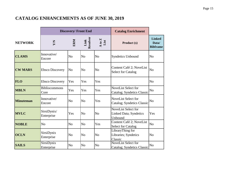# **CATALOG ENHANCEMENTS AS OF JUNE 30, 2019**

|                  |                              | <b>Discovery/Front End</b> |                  |                | <b>Catalog Enrichment</b>                                        |                                           |
|------------------|------------------------------|----------------------------|------------------|----------------|------------------------------------------------------------------|-------------------------------------------|
| <b>NETWORK</b>   | YN                           | ERM                        | Link<br>Resolver | A to Z<br>List | Product (s)                                                      | <b>Linked</b><br>Data/<br><b>Bibframe</b> |
| <b>CLAMS</b>     | Innovative/<br>Encore        | N <sub>0</sub>             | N <sub>o</sub>   | N <sub>o</sub> | <b>Syndetics Unbound</b>                                         | N <sub>o</sub>                            |
| <b>CW MARS</b>   | <b>Ebsco Discovery</b>       | N <sub>o</sub>             | N <sub>o</sub>   | N <sub>o</sub> | Content Café 2; NoveList<br><b>Select for Catalog</b>            | N <sub>o</sub>                            |
| <b>FLO</b>       | <b>Ebsco Discovery</b>       | Yes                        | Yes              | Yes            |                                                                  | N <sub>o</sub>                            |
| <b>MBLN</b>      | <b>Bibliocommons</b><br>Core | Yes                        | Yes              | Yes            | NoveList Select for<br>Catalog; Syndetics Classic                | N <sub>o</sub>                            |
| <b>Minuteman</b> | Innovative/<br>Encore        | N <sub>o</sub>             | N <sub>o</sub>   | Yes            | NoveList Select for<br>Catalog; Syndetics Classic                | N <sub>o</sub>                            |
| <b>MVLC</b>      | SirsiDynix/<br>Enterprise    | Yes                        | N <sub>o</sub>   | N <sub>o</sub> | NoveList Select for<br>Linked Data; Syndetics<br>Unbound         | Yes                                       |
| <b>NOBLE</b>     | N <sub>o</sub>               | N <sub>o</sub>             | N <sub>o</sub>   | Yes            | Content Café 2; NoveList<br><b>Select for Catalog</b>            | N <sub>o</sub>                            |
| <b>OCLN</b>      | SirsiDynix<br>Enterprise     | N <sub>o</sub>             | N <sub>o</sub>   | N <sub>o</sub> | LibraryThing for<br>Libraries; Syndetics<br>Classic              | N <sub>o</sub>                            |
| <b>SAILS</b>     | SirsiDynix<br>Enterprise     | N <sub>o</sub>             | N <sub>o</sub>   | N <sub>o</sub> | <b>NoveList Select for</b><br><b>Catalog</b> ; Syndetics Classic | N <sub>o</sub>                            |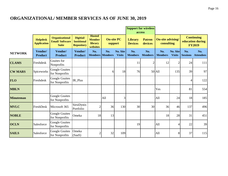# **ORGANIZATIONAL/ MEMBER SERVICES AS OF JUNE 30, 2019**

|                  |                                       |                                                                |                                                      |                                                       |                       |                                                                                              | <b>Support for wireless</b><br>access |                                        |                       |                                                        |                        |                         |
|------------------|---------------------------------------|----------------------------------------------------------------|------------------------------------------------------|-------------------------------------------------------|-----------------------|----------------------------------------------------------------------------------------------|---------------------------------------|----------------------------------------|-----------------------|--------------------------------------------------------|------------------------|-------------------------|
|                  | <b>Helpdesk</b><br><b>Application</b> | <b>Organizational</b><br><b>Email/Software</b><br><b>Suite</b> | Digitial/<br><b>Institional</b><br><b>Repository</b> | <b>Hosted</b><br><b>Member</b><br>library<br>websites |                       | <b>On-site PC</b><br><b>Library</b><br><b>Patron</b><br>devices<br>support<br><b>Devices</b> |                                       | <b>On-site advising/</b><br>consulting |                       | <b>Continuing</b><br>education during<br><b>FY2019</b> |                        |                         |
| <b>NETWORK</b>   | Vendor/<br><b>Product</b>             | Vendor/<br><b>Product</b>                                      | Vendor/<br><b>Product</b>                            | No.<br><b>Members</b>                                 | No.<br><b>Members</b> | No. Site<br><b>Visits</b>                                                                    | No.<br><b>Members</b>                 | No.<br><b>Members</b>                  | No.<br><b>Members</b> | No. Site<br><b>Visits</b>                              | No.<br><b>Sessions</b> | No.<br><b>Attendees</b> |
| <b>CLAMS</b>     | Freshdesk                             | Gsuites for<br>Nonprofits                                      |                                                      |                                                       |                       |                                                                                              | 11                                    | $\overline{2}$                         | 12                    | $\overline{2}$                                         | 24                     | <b>111</b>              |
| <b>CW MARS</b>   | Spiceworks                            | <b>Google Gsuites</b><br>for Nonprofits                        |                                                      |                                                       | 6                     | 18                                                                                           | 76                                    |                                        | 50 All                | 135                                                    | 39                     | 97                      |
| <b>FLO</b>       | Freshdesk                             | <b>Google Gsuites</b><br>for Nonprofits                        | IR_Plus                                              |                                                       |                       |                                                                                              |                                       |                                        |                       |                                                        | 4                      | 122                     |
| <b>MBLN</b>      |                                       |                                                                |                                                      |                                                       |                       |                                                                                              |                                       |                                        | Yes                   |                                                        | 81                     | 554                     |
| <b>Minuteman</b> |                                       | <b>Google Gsuites</b><br>for Nonprofits                        |                                                      |                                                       | All                   | 3                                                                                            |                                       |                                        | All                   | 24                                                     | 18                     | 185                     |
| <b>MVLC</b>      | FreshDesk                             | Microsoft 365                                                  | SirsiDynix<br>Portfolio                              | $\overline{c}$                                        | 36                    | 130                                                                                          | 30                                    | 30                                     | 36                    | 46                                                     | 137                    | 496                     |
| <b>NOBLE</b>     |                                       | Google Gsuites<br>for Nonprofits                               | Omeka                                                | 18                                                    | 13                    |                                                                                              |                                       |                                        | 18                    | 28                                                     | 31                     | 451                     |
| <b>OCLN</b>      | Salesforce                            | Google Gsuites<br>for Nonprofits                               |                                                      |                                                       |                       |                                                                                              | 19                                    |                                        | All                   | 4                                                      | 22                     | 39                      |
| <b>SAILS</b>     | Salesforce                            | Google Gsuites<br>for Nonprofits                               | Omeka<br>(SaaS)                                      | $\overline{2}$                                        | 32                    | 109                                                                                          |                                       |                                        | All                   | 8                                                      | 37                     | 115                     |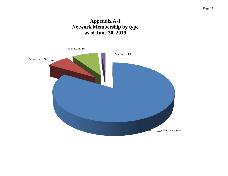# **Appendix A-1 Network Membership by type as of June 30, 2019**

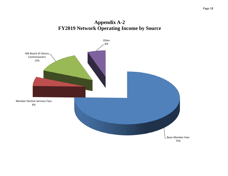# **Appendix A-2 FY2019 Network Operating Income by Source**

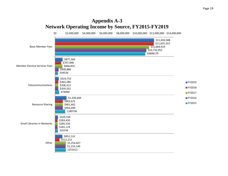## **Appendix A-3 Network Operating Income by Source, FY2015-FY2019**

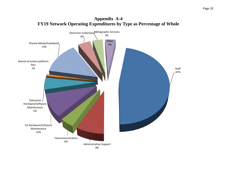

**Appendix A-4**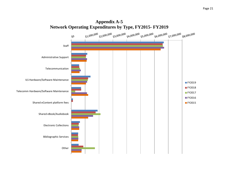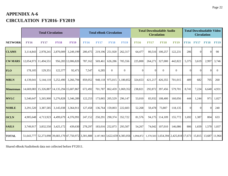# **APPENDIX A-6 CIRCULATION FY2016- FY2019**

|                  |             | <b>Total Circulation</b>                                                            |             |                    |             |             | <b>Total eBook Circulation</b> |                |             | <b>Circulation</b> | <b>Total Downloadable Audio</b> |                                      | <b>Total Downloadable Video</b><br><b>Circulation</b> |             |             |               |
|------------------|-------------|-------------------------------------------------------------------------------------|-------------|--------------------|-------------|-------------|--------------------------------|----------------|-------------|--------------------|---------------------------------|--------------------------------------|-------------------------------------------------------|-------------|-------------|---------------|
| <b>NETWORK</b>   | <b>FY16</b> | <b>FY17</b>                                                                         | <b>FY18</b> | <b>FY19</b>        | <b>FY16</b> | <b>FY17</b> | <b>FY18</b>                    | <b>FY19</b>    | <b>FY16</b> | <b>FY17</b>        | <b>FY18</b>                     | <b>FY19</b>                          | <b>FY16</b>                                           | <b>FY17</b> | <b>FY18</b> | <b>FY19</b>   |
| <b>CLAMS</b>     | 3,114,843   | 2,978,241                                                                           | 2,870,009   | 3,249,199          | 200,475     | 219,196     | 251,920                        | 262,317        | 64,477      | 80,516             | 100,257                         | 122,231                              | 206                                                   | $\Omega$    | $\Omega$    | 90            |
| <b>CW MARS</b>   |             | 12,054,973 11,494,551                                                               |             | 956,283 12,006,820 | 787,162     | 569,461     | 626,286                        | 705,556        | 225,800     | 264,271            | 327,000                         | 442,822                              | 5,375                                                 | 3,619       | 2,997       | 3,746         |
| <b>FLO</b>       | 178,105     | 129,351                                                                             | 122,377     | 92,471             | 7,547       | 6,285       | $\overline{0}$                 | $\overline{0}$ | $\Omega$    | $\Omega$           | $\overline{0}$                  | $\overline{0}$                       | $\Omega$                                              | $\Omega$    | $\Omega$    | $\theta$      |
| <b>MBLN</b>      | 4,139,041   | 5,144,110                                                                           | 5,252,490   | 3,266,794          | 859,052     | 948,118     | 975,015                        | 1,180,852      | 324,653     | 421,217            | 426,355                         | 701,015                              | 409                                                   | 682         | 705         | 260           |
| <b>Minuteman</b> |             | 14,669,083 15,326,887 14,135,294 15,607,867                                         |             |                    | 672,492     | 701,787     | 862,459                        | 1,069,352      | 238,821     | 292,872            | 397,456                         | 579,701                              | 8,741                                                 | 7,224       |             | 6,640 4,931   |
| <b>MVLC</b>      | 5,540,647   | 5,265,900                                                                           | 5,276,828   | 5,346,289          | 122,253     | 173,065     | 205,529                        | 296,147        | 53,010      | 83,932             | 108,400                         | 160,056                              | 444                                                   | 1,244       | 971         | 1,027         |
| <b>NOBLE</b>     | 3,291,520   | 3,387,585                                                                           | 3,145,038   | 3,364,911          | 127,458     | 136,764     | 159,003                        | 222,603        | 52,268      | 59,478             | 73,807                          | 118,135                              | $\Omega$                                              | $\Omega$    | $\Omega$    | 240           |
| <b>OCLN</b>      | 4,905,648   | 4,713,923                                                                           | 4,499,679   | 4,376,991          | 247,152     | 250,291     | 290,374                        | 352,722        | 81,576      | 94,175             | 114,109                         | 155,772                              | 1,692                                                 | 1,387       | 804         | 633           |
| <b>SAILS</b>     | 3,749,917   | 3,832,550                                                                           | 3,425,172   | 439,630            | 278,297     |             | 183,016 252,073                | 293,507        | 54,267      | 74,042             | 107,010                         | 146,086                              | 806                                                   | 1,659       |             | 1,570 1,037   |
| <b>TOTAL</b>     |             | 51,643,777 52,273,098 39,683,170 47,750,972 3,301,888 3,187,983 3,622,659 4,383,056 |             |                    |             |             |                                |                | 1,094,872   |                    |                                 | 1,370,503 1,654,394 2,425,818 17,673 |                                                       | 15,815      |             | 13,687 11,964 |

Shared eBook/Audiobook data not collected before FY2011.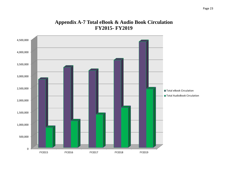## **Appendix A-7 Total eBook & Audio Book Circulation FY2015- FY2019**

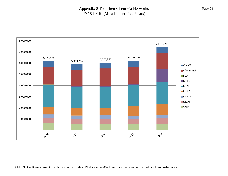#### Appendix 8 Total Items Lent via Networks FY15-FY19 (Most Recent Five Years)

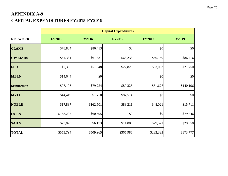# **APPENDIX A-9 CAPITAL EXPENDITURES FY2015-FY2019**

|                  |               |               | <b>Capital Expenditures</b> |               |               |
|------------------|---------------|---------------|-----------------------------|---------------|---------------|
| <b>NETWORK</b>   | <b>FY2015</b> | <b>FY2016</b> | <b>FY2017</b>               | <b>FY2018</b> | <b>FY2019</b> |
| <b>CLAMS</b>     | \$78,884      | \$86,413      | \$0                         | \$0           | \$0           |
| <b>CW MARS</b>   | \$61,331      | \$61,331      | \$63,233                    | \$50,150      | \$86,416      |
| <b>FLO</b>       | \$7,350       | \$51,848      | \$22,820                    | \$53,003      | \$21,750      |
| <b>MBLN</b>      | \$14,644      | \$0           |                             | \$0           | \$0           |
| <b>Minuteman</b> | \$97,196      | \$79,254      | \$89,325                    | \$51,627      | \$140,196     |
| <b>MVLC</b>      | \$44,419      | \$1,750       | \$87,514                    | \$0           | \$0           |
| <b>NOBLE</b>     | \$17,887      | \$162,501     | \$88,211                    | \$48,021      | \$15,711      |
| <b>OCLN</b>      | \$158,205     | \$60,695      | \$0                         | \$0           | \$79,746      |
| <b>SAILS</b>     | \$73,878      | \$6,173       | \$14,883                    | \$29,521      | \$29,958      |
| <b>TOTAL</b>     | \$553,794     | \$509,965     | \$365,986                   | \$232,322     | \$373,777     |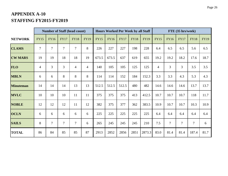# **APPENDIX A-10 STAFFING FY2015-FY2019**

|                  |                |                | <b>Number of Staff (head count)</b> |                |                |             | <b>Hours Worked Per Week by all Staff</b> |             |             |             |                |                | FTE (35 hrs/week) |                |             |
|------------------|----------------|----------------|-------------------------------------|----------------|----------------|-------------|-------------------------------------------|-------------|-------------|-------------|----------------|----------------|-------------------|----------------|-------------|
| <b>NETWORK</b>   | <b>FY15</b>    | <b>FY16</b>    | <b>FY17</b>                         | <b>FY18</b>    | <b>FY19</b>    | <b>FY15</b> | <b>FY16</b>                               | <b>FY17</b> | <b>FY18</b> | <b>FY19</b> | <b>FY15</b>    | <b>FY16</b>    | <b>FY17</b>       | <b>FY18</b>    | <b>FY19</b> |
| <b>CLAMS</b>     | $\overline{7}$ | $\overline{7}$ | $\overline{7}$                      | $\tau$         | 8              | 226         | 227                                       | 227         | 198         | 228         | 6.4            | 6.5            | 6.5               | 5.6            | 6.5         |
| <b>CW MARS</b>   | 19             | 19             | 18                                  | 18             | 19             | 673.5       | 673.5                                     | 637         | 619         | 655         | 19.2           | 19.2           | 18.2              | 17.6           | 18.7        |
| <b>FLO</b>       | $\overline{4}$ | 3              | $\overline{3}$                      | $\overline{4}$ | $\overline{4}$ | 140         | 105                                       | 105         | 125         | 125         | $\overline{4}$ | 3              | 3                 | 3.5            | 3.5         |
| <b>MBLN</b>      | 6              | 6              | 8                                   | 8              | 8              | 114         | 114                                       | 152         | 184         | 152.3       | 3.3            | 3.3            | 4.3               | 5.3            | 4.3         |
| <b>Minuteman</b> | 14             | 14             | 14                                  | 13             | 13             | 512.5       | 512.5                                     | 512.5       | 480         | 482         | 14.6           | 14.6           | 14.6              | 13.7           | 13.7        |
| <b>MVLC</b>      | 10             | 10             | 10                                  | 11             | 11             | 375         | 375                                       | 375         | 413         | 412.5       | 10.7           | 10.7           | 10.7              | 118            | 11.7        |
| <b>NOBLE</b>     | 12             | 12             | 12                                  | 11             | 12             | 382         | 375                                       | 377         | 362         | 383.5       | 10.9           | 10.7           | 10.7              | 10.3           | 10.9        |
| <b>OCLN</b>      | 6              | 6              | 6                                   | 6              | 6              | 225         | 225                                       | 225         | 225         | 225         | 6.4            | 6.4            | 6.4               | 6.4            | 6.4         |
| <b>SAILS</b>     | 8              | $\overline{7}$ | 7                                   | $\tau$         | 6              | 265         | 245                                       | 245         | 245         | 210         | 7.5            | $\overline{7}$ | $\tau$            | $\overline{7}$ | 6           |
| <b>TOTAL</b>     | 86             | 84             | 85                                  | 85             | 87             | 2913        | 2852                                      | 2856        | 2851        | 2873.3      | 83.0           | 81.4           | 81.4              | 187.4          | 81.7        |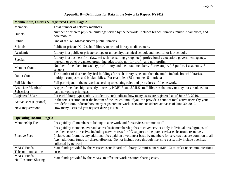|                                 | <b>Membership, Outlets &amp; Registered Users-Page 2</b>                                                                                                                                                                       |
|---------------------------------|--------------------------------------------------------------------------------------------------------------------------------------------------------------------------------------------------------------------------------|
| <b>Members</b>                  | Total number of network members.                                                                                                                                                                                               |
| Outlets                         | Number of discrete physical buildings served by the network. Includes branch libraries, multiple campuses, and<br>bookmobiles.                                                                                                 |
| Public                          | One of the 370 Massachusetts public libraries.                                                                                                                                                                                 |
| Schools                         | Public or private, K-12 school library or school library media centers.                                                                                                                                                        |
| Academic                        | Library in a public or private college or university, technical school, and medical or law schools.                                                                                                                            |
| Special                         | Library in a business firm (law, sci-tech, consulting group, etc.), professional association, government agency,<br>museum or other organized group; includes profit, not-for-profit, and non-profits.                         |
| Member Count                    | Number of members for each type of library and then total members. For example, (15 public, 1 academic, 5<br>school)                                                                                                           |
| <b>Outlet Count</b>             | The number of discrete physical buildings for each library type, and then the total. Include branch libraries,<br>multiple campuses, and bookmobiles. For example, (35 members, 51 outlets)                                    |
| <b>Full Member</b>              | Full participant in the network according to existing rules and procedures of the network.                                                                                                                                     |
| Associate Member/<br>Subscriber | A type of membership currently in use by NOBLE and SAILS small libraries that may or may not circulate, but<br>have no voting privileges.                                                                                      |
| Registered User                 | For each library type (public, academic, etc.) indicate how many users are registered as of June 30, 2019.                                                                                                                     |
| Active User (Optional)          | In the totals section, near the bottom of the last column, if you can provide a count of total active users (by your<br>own definition), indicate how many registered network users are considered active as of June 30, 2019. |
| New Registrations               | How many users did you register during FY2019?                                                                                                                                                                                 |

#### **Appendix B—Definitions for Data in the Networks Report, FY2019**

| <b>Operating Income-Page 3</b>            |                                                                                                                                                                                                                                                                                                                                                                                                                                                                                              |
|-------------------------------------------|----------------------------------------------------------------------------------------------------------------------------------------------------------------------------------------------------------------------------------------------------------------------------------------------------------------------------------------------------------------------------------------------------------------------------------------------------------------------------------------------|
| Membership Fees                           | Fees paid by all members to belong to a network and for services common to all.                                                                                                                                                                                                                                                                                                                                                                                                              |
| <b>Elective Fees</b>                      | Fees paid by members over and above basic membership fees to cover services only individual or subgroups of<br>members chose to receive, including network fees for PC support or the purchase/lease electronic resources.<br>Include, and footnote, any additional fees paid on a volunteer basis by members for services that are common to all<br>(e.g., additional funds for shared eBooks). Do not include pass-through licensing costs; only include overhead<br>collected by network. |
| <b>MBLC</b> Funds                         | State funds provided by the Massachusetts Board of Library Commissioners (MBLC) to offset telecommunications                                                                                                                                                                                                                                                                                                                                                                                 |
| Telecommunications                        | costs.                                                                                                                                                                                                                                                                                                                                                                                                                                                                                       |
| <b>MBLC</b> Funds<br>Net Resource Sharing | State funds provided by the MBLC to offset network resource sharing costs.                                                                                                                                                                                                                                                                                                                                                                                                                   |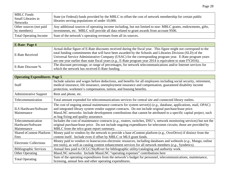| <b>MBLC</b> Funds<br>Small Libraries in<br><b>Networks</b> | State (or Federal) funds provided by the MBLC to offset the cost of network membership for certain public<br>libraries serving populations of under 10,000. |
|------------------------------------------------------------|-------------------------------------------------------------------------------------------------------------------------------------------------------------|
| Other sources (not paid                                    | Any additional sources of operating income including, but not limited to non-MBLC grants, endowments, gifts,                                                |
| by members)                                                | investments, etc. MBLC will provide all data related to grant awards from account 9506.                                                                     |
| <b>Total Operating Income</b>                              | Sum of the network's operating revenues from all its sources.                                                                                               |

| <b>E-Rate-Page 4</b>   |                                                                                                                                                                                                                                                                                                                                                                                                                                                           |
|------------------------|-----------------------------------------------------------------------------------------------------------------------------------------------------------------------------------------------------------------------------------------------------------------------------------------------------------------------------------------------------------------------------------------------------------------------------------------------------------|
| <b>E-Rate Received</b> | Actual dollar figure of E-Rate discounts received during the fiscal year. This figure might not correspond to the<br>total funding commitments that will have been awarded by the Schools and Libraries Division (SLD) of the<br>Universal Service Administrative Company (USAC) for the corresponding program year. E-Rate program years<br>are one year earlier than state fiscal years (e.g., E-Rate program year 2014 is equivalent to state FY2016). |
| E-Rate Discount %      | The discount percentage, or range of percentages, for network telecommunications and/or Internet services for<br>which the network has received E-Rate funding.                                                                                                                                                                                                                                                                                           |

| <b>Operating Expenditures-Page 5</b>                  |                                                                                                                                                                                                                                                                                                                                                                                           |  |
|-------------------------------------------------------|-------------------------------------------------------------------------------------------------------------------------------------------------------------------------------------------------------------------------------------------------------------------------------------------------------------------------------------------------------------------------------------------|--|
| <b>Staff</b>                                          | Include salaries and wages before deductions, and benefits for all employees including social security, retirement,<br>medical insurance, life insurance, unemployment insurance and compensation, guaranteed disability income<br>protection, workmen's compensation, tuition, and housing benefits.                                                                                     |  |
| <b>Administrative Support</b>                         | Rent and phone, etc.                                                                                                                                                                                                                                                                                                                                                                      |  |
| Telecommunication                                     | Total amount expended for telecommunications services for central site and connected library outlets.                                                                                                                                                                                                                                                                                     |  |
| <b>ILS Hardware/Software</b><br>Maintenance           | The cost of ongoing annual maintenance contracts for system server(s) $(e.g., data base, applications, mail, OPAC)$<br>and integrated library system vendor support contracts. Do not include original purchase/lease price.<br>MassLNC networks: Include development contributions that cannot be attributed to a specific capital project, such<br>as bug fixing and quality assurance. |  |
| Telecommunication<br>Hardware/Software<br>Maintenance | Includes the cost of maintenance contracts $(e.g.,$ routers, switches, DSU's, network monitoring services) but not the<br>original purchase/lease price. Do not include ongoing expenditures for telecomm circuits; those are provided by<br>MBLC from the telco grant report summary.                                                                                                    |  |
| <b>Shared eContent Platform</b><br>Fees               | Money paid to vendors by the network to provide a base eContent platform (e.g., OverDrive) if distinct from the<br>content itself. Include even if offset by MBLC or MLS grant funds.                                                                                                                                                                                                     |  |
| <b>Electronic Collections</b>                         | Money paid to vendors to lease/access electronic resources, including databases and webtools (e.g., Mango, online<br>test tools), as well as catalog content enhancement services for all network members (e.g., Syndetics).                                                                                                                                                              |  |
| <b>Bibliographic Services</b>                         | Annual fees paid to OCLC/SkyRiver for bibliographic utility/cataloging and authority work.                                                                                                                                                                                                                                                                                                |  |
| <b>Other Operating</b>                                | MassLNC networks: Include MassLNC "operating expenses" contributions here                                                                                                                                                                                                                                                                                                                 |  |
| <b>Total Operating</b>                                | Sum of the operating expenditures from the network's budget for personnel, telecommunications, maintenance,<br>licensing, annual fees and other operating expenditures.                                                                                                                                                                                                                   |  |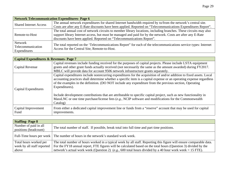| <b>Network Telecommunication Expenditures- Page 6</b> |                                                                                                                    |
|-------------------------------------------------------|--------------------------------------------------------------------------------------------------------------------|
| <b>Shared Internet Access</b>                         | The annual network expenditures for shared Internet bandwidth required by to/from the network's central site.      |
|                                                       | Costs are after any E-Rate discounts have been applied. Reported on "Telecommunications Expenditures Report".      |
| Remote-to-Host                                        | The total annual cost of network circuits to member library locations, including branches. These circuits may also |
|                                                       | support library Internet access, but must be managed and paid for by the network. Costs are after any E-Rate       |
|                                                       | discounts have been applied. Reported on "Telecommunications Report".                                              |
| Network                                               | The total reported on the 'Telecommunications Report' for each of the telecommunications service types: Internet   |
| Telecommunication                                     | Access for the Central Site, Remote-to-Host.                                                                       |
| Expenditures                                          |                                                                                                                    |

| <b>Capital Expenditures &amp; Revenues- Page 7</b> |                                                                                                                                                                                                                                                                                                                                                                           |
|----------------------------------------------------|---------------------------------------------------------------------------------------------------------------------------------------------------------------------------------------------------------------------------------------------------------------------------------------------------------------------------------------------------------------------------|
| Capital Revenue                                    | Capital revenues include funding received for the purposes of capital projects. Please include LSTA equipment<br>grants and other grant funds actually received (not necessarily the same as the amount awarded) during FY2017.<br>MBLC will provide data for account 9506 network infrastructure grants separately.                                                      |
| Capital Expenditures                               | Capital expenditures include nonrecurring expenditures for the acquisition of and/or addition to fixed assets. Local<br>accounting practices shall determine whether a specific item is a capital expense or an operating expense regardless<br>of the examples in the definition. (DO NOT include any expenditure from the previous section, Operating<br>Expenditures). |
|                                                    | Include development contributions that are attributable to specific capital project, such as new functionality in<br>MassLNC or one time purchase/license fees $(e.g., NCIP)$ software and modifications for the Commonwealth<br>Catalog)                                                                                                                                 |
| Capital Improvement<br>Fund                        | From either a dedicated capital improvement line or funds from a "reserve" account that may be used for capital<br>improvements.                                                                                                                                                                                                                                          |

| <b>Staffing-Page 8</b>                         |                                                                                                                     |
|------------------------------------------------|---------------------------------------------------------------------------------------------------------------------|
| Number of paid in all<br>positions (headcount) | The total number of staff. If possible, break total into full time and part time positions.                         |
|                                                | Full-Time hours per week The number of hours in the network's standard work week.                                   |
| Total hours worked per                         | The total number of hours worked in a typical week by all staff. Reporting this figure will ensure comparable data. |
| week by all staff reported                     | For the FY18 annual report, FTE figures will be calculated based on the total hours (Question 3) divided by the     |
| above                                          | network's actual work week (Question 2) (e.g., 600 total hours divided by a 40 hour work week = 15 FTE).            |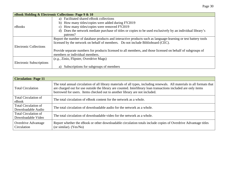|                                 | eBook Holding & Electronic Collections- Page 9 & 10                                                             |
|---------------------------------|-----------------------------------------------------------------------------------------------------------------|
|                                 | a) Facilitated shared eBook collections                                                                         |
|                                 | b) How many titles/copies were added during FY2019                                                              |
| eBooks                          | c) How many titles/copies were removed FY2019                                                                   |
|                                 | Does the network mediate purchase of titles or copies to be used exclusively by an individual library's<br>d)   |
|                                 | patrons?                                                                                                        |
|                                 | Report the number of database products and interactive products such as language-learning or test battery tools |
|                                 | licensed by the network on behalf of members. Do not include Biblioboard (CEC).                                 |
| <b>Electronic Collections</b>   |                                                                                                                 |
|                                 | Provide separate numbers for products licensed to all members, and those licensed on behalf of subgroups of     |
|                                 | members or individual members.                                                                                  |
|                                 | (e.g., Zinio, Flipster, Overdrive Mags)                                                                         |
| <b>Electronic Subscriptions</b> |                                                                                                                 |
|                                 | Subscriptions for subgroups of members<br>a)                                                                    |

| <b>Circulation-Page 11</b>                        |                                                                                                                                                                                                                                                                                                                            |
|---------------------------------------------------|----------------------------------------------------------------------------------------------------------------------------------------------------------------------------------------------------------------------------------------------------------------------------------------------------------------------------|
| <b>Total Circulation</b>                          | The total annual circulation of all library materials of all types, including renewals. All materials in all formats that<br>are charged out for use outside the library are counted. Interlibrary loan transactions included are only items<br>borrowed for users. Items checked out to another library are not included. |
| <b>Total Circulation of</b><br>eBook              | The total circulation of eBook content for the network as a whole.                                                                                                                                                                                                                                                         |
| <b>Total Circulation of</b><br>Downloadable Audio | The total circulation of downloadable audio for the network as a whole.                                                                                                                                                                                                                                                    |
| Total Circulation of<br>Downloadable Video        | The total circulation of downloadable video for the network as a whole.                                                                                                                                                                                                                                                    |
| <b>Overdrive Advantage</b><br>Circulation         | Report whether the eBook or other downloadable circulation totals include copies of Overdrive Advantage titles<br>(or similar). $(Yes/No)$                                                                                                                                                                                 |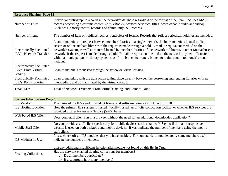| <b>Resource Sharing-Page 12</b>                                     |                                                                                                                                                                                                                                                                                                                                                                                                                                                                                                                                                                                                                  |  |
|---------------------------------------------------------------------|------------------------------------------------------------------------------------------------------------------------------------------------------------------------------------------------------------------------------------------------------------------------------------------------------------------------------------------------------------------------------------------------------------------------------------------------------------------------------------------------------------------------------------------------------------------------------------------------------------------|--|
| Number of Titles                                                    | Individual bibliographic records in the network's database regardless of the format of the item. Includes MARC<br>records describing electronic content (e.g., eBooks, licensed periodical titles, downloadable audio and video).<br>Excludes authority control records and community I&R records.                                                                                                                                                                                                                                                                                                               |  |
| Number of Items                                                     | The number of item or holdings records, regardless of format. Records that reflect periodical holdings are included.                                                                                                                                                                                                                                                                                                                                                                                                                                                                                             |  |
| <b>Electronically Facilitated</b><br><b>ILL's Network Transfers</b> | Loan of materials on request between member libraries in a single network. Includes materials loaned to dial<br>access or online affiliate libraries if the request is made through a hold, E-mail, or equivalent method on the<br>network's system, as well as material loaned by member libraries of the network to libraries in other Massachusetts<br>networks if the request is made through a hold, E-mail or equivalent method on the network's system. Transfers<br>within a municipal public library system <i>(i.e., from branch to branch, branch to main or main to branch)</i> are not<br>included. |  |
| <b>Electronically Facilitated</b><br>ILL's From Virtual<br>Catalog  | Loan of materials requested through the statewide virtual catalog.                                                                                                                                                                                                                                                                                                                                                                                                                                                                                                                                               |  |
| <b>Electronically Facilitated</b><br>ILL's Point-to-Point           | Loan of materials with the transaction taking place directly between the borrowing and lending libraries with no<br>intermediary and not facilitated by the virtual catalog.                                                                                                                                                                                                                                                                                                                                                                                                                                     |  |
| Total ILL's                                                         | Total of Network Transfers, From Virtual Catalog, and Point to Point.                                                                                                                                                                                                                                                                                                                                                                                                                                                                                                                                            |  |

| <b>System Information-Page 13</b> |                                                                                                                                                                                                                                                |  |
|-----------------------------------|------------------------------------------------------------------------------------------------------------------------------------------------------------------------------------------------------------------------------------------------|--|
| <b>ILS</b> Vendor                 | The name of the ILS vendor, Product Name, and software release as of June 30, 2018                                                                                                                                                             |  |
| <b>ILS Hosting Location</b>       | How the primary ILS system is hosted: locally hosted, an off-site collocation facility, or whether ILS services are<br>provided on a Software as a Service (SaaS) basis                                                                        |  |
| Web-based ILS Client              | Does your staff client run in a browser without the need for an additional downloaded application?                                                                                                                                             |  |
| Mobile Staff Client               | Do you provide a staff client specifically for mobile devices, such as tablets? Say no if the same responsive<br>website is used on both desktops and mobile devices. If yes, indicate the number of members using the mobile<br>staff client. |  |
| ILS Modules in Use                | Please check off all ILS modules that you have enabled. For non-standard modules (only some members use),<br>indicate the number of members.<br>List any additional significant functionality/module not found on this list in Other.          |  |
| <b>Floating Collections</b>       | Has the network enabled floating collections for members?<br>a) Do all members participate?<br>b) If a subgroup, how many members?                                                                                                             |  |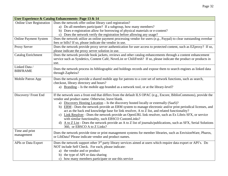| User Experience & Catalog Enhancements- Page 13 & 14 |                                                                                                                                                                                                                                                                                                                                                                                                                                                                                                                                                                                                                                                                                                                                                                                                       |  |
|------------------------------------------------------|-------------------------------------------------------------------------------------------------------------------------------------------------------------------------------------------------------------------------------------------------------------------------------------------------------------------------------------------------------------------------------------------------------------------------------------------------------------------------------------------------------------------------------------------------------------------------------------------------------------------------------------------------------------------------------------------------------------------------------------------------------------------------------------------------------|--|
| <b>Online User Registration</b>                      | Does the network offer online library card registration?<br>a) Do all members participate? If a subgroup, how many members?                                                                                                                                                                                                                                                                                                                                                                                                                                                                                                                                                                                                                                                                           |  |
|                                                      | b) Does e-registration allow for borrowing of physical materials or e-content?                                                                                                                                                                                                                                                                                                                                                                                                                                                                                                                                                                                                                                                                                                                        |  |
|                                                      | c) Does the network verify the registration before allowing any usage?                                                                                                                                                                                                                                                                                                                                                                                                                                                                                                                                                                                                                                                                                                                                |  |
| <b>Online Payment System</b>                         | Does the network utilize an online payment processing vendor for users $(e.g., Paypal)$ to clear outstanding overdue<br>fees or bills? If so, please indicate the vendor in use.                                                                                                                                                                                                                                                                                                                                                                                                                                                                                                                                                                                                                      |  |
| Proxy Server                                         | Does the network provide proxy server authentication for user access to protected content, such as EZproxy? If so,<br>please indicate the proxy server solution in use.                                                                                                                                                                                                                                                                                                                                                                                                                                                                                                                                                                                                                               |  |
| <b>Catalog Enrichment</b>                            | Does the network provide book jackets, reviews and other catalog enhancements through a content enhancement<br>service such as Syndetics, Content Café, NoveList or ChiliFresh? If so, please indicate the product or products in<br>use.                                                                                                                                                                                                                                                                                                                                                                                                                                                                                                                                                             |  |
| Linked Data /<br><b>BIBFRAME</b>                     | Does the network process its bibliographic and holdings records and expose them to search engines as linked data<br>through Zapheira?                                                                                                                                                                                                                                                                                                                                                                                                                                                                                                                                                                                                                                                                 |  |
| Mobile Patron App                                    | Does the network provide a shared mobile app for patrons to a core set of network functions, such as search,<br>checkout, library directory and hours?<br>a) Branding – Is the mobile app branded as a network tool, or at the library-level?                                                                                                                                                                                                                                                                                                                                                                                                                                                                                                                                                         |  |
| Discovery/Front End                                  | If the network uses a front end that differs from the default ILS OPAC (e.g., Encore, BiblioCommons), provide the<br>vendor and product name. Otherwise, leave blank.<br>a) Discovery Hosting Location – Is the discovery hosted locally or externally (SaaS)?<br>b) ERM - Does the network provide an ERM system to manage electronic and/or print periodical licenses, and<br>act as the back end knowledge base for link resolver, A to Z list, and related functionality?<br>c) Link Resolver - Does the network provide an OpenURL link resolver, such as Ex Libris SFX, or service<br>with similar functionality, such EBSCO CustomLinks?<br>A to Z List - Does the network provide an A to Z list of journals/publications, such as SFX, Serial Solutions<br>d)<br>360, or EBSCO A to Z Links? |  |
| Time and print<br>management                         | Does the network provide time or print management systems for member libraries, such as EnvisionWare, Pharos,<br>or LibData? Please indicate vendor and product names.                                                                                                                                                                                                                                                                                                                                                                                                                                                                                                                                                                                                                                |  |
| <b>APIs or Data Export</b>                           | Does the network support other 3 <sup>rd</sup> party library services aimed at users which require data export or API's. Do<br>NOT include Self Check. For each, please indicate:<br>a) the vendor and or product<br>b) the type of API or data sharing<br>c) how many members participate or use this service                                                                                                                                                                                                                                                                                                                                                                                                                                                                                        |  |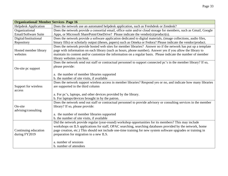| <b>Organizational/ Member Services- Page 16</b> |                                                                                                                   |  |
|-------------------------------------------------|-------------------------------------------------------------------------------------------------------------------|--|
| <b>Helpdesk Application</b>                     | Does the network use an automated helpdesk application, such as Freshdesk or Zendesk?                             |  |
| Organizational                                  | Does the network provide a consortial email, office suite and/or cloud storage for members, such as Gmail, Google |  |
| Email/Software Suite                            | Apps, or Microsoft SharePoint/OneDrive? Please indicate the vendor(s)/product(s).                                 |  |
| Digital/Institutional                           | Does the network provide a software application dedicated to digital materials, (image collections, audio files,  |  |
| Repository                                      | binary fills) or scholarly output (theses, papers) such as Omeka or Fedora? Please indicate the vendor/product.   |  |
|                                                 | Does the network provide hosted web sites for member libraries? Answer no if the network has put up a template    |  |
| Hosted member library                           | page with information on each library (such as hours, phone number). Answer yes if you allow the library to       |  |
| websites                                        | maintain its content and/or customize the information on a regular basis. Please indicate the number of member    |  |
|                                                 | library websites you host.                                                                                        |  |
|                                                 | Does the network send out staff or contractual personnel to support connected pc's in the member library? If so,  |  |
| On-site pc support                              | please provide:                                                                                                   |  |
|                                                 |                                                                                                                   |  |
|                                                 | a. the number of member libraries supported                                                                       |  |
|                                                 | b. the number of site visits, if available                                                                        |  |
|                                                 | Does the network support wireless access in member libraries? Respond yes or no, and indicate how many libraries  |  |
| Support for wireless                            | are supported in the third column                                                                                 |  |
| access                                          |                                                                                                                   |  |
|                                                 | a. For pc's, laptops, and other devices provided by the library.                                                  |  |
|                                                 | b. For laptops/devices brought in by the patron.                                                                  |  |
|                                                 | Does the network send out staff or contractual personnel to provide advisory or consulting services in the member |  |
| On-site                                         | library? If so, please provide:                                                                                   |  |
| advising/consulting                             |                                                                                                                   |  |
|                                                 | a. the number of member libraries supported                                                                       |  |
|                                                 | b. the number of site visits, if available                                                                        |  |
|                                                 | Did the network provide regular (year-round) workshop opportunities for its members? This may include             |  |
|                                                 | workshops on ILS applications for staff, OPAC searching, searching databases provided by the network, home        |  |
| Continuing education                            | page creation, etc.) This should not include one-time training for new system software upgrades or training in    |  |
| during FY2019                                   | preparation for migration to a new ILS.                                                                           |  |
|                                                 |                                                                                                                   |  |
|                                                 | a. number of sessions                                                                                             |  |
|                                                 | b. number of attendees                                                                                            |  |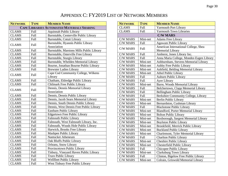# APPENDIX C: FY2019 LIST OF NETWORK MEMBERS

| <b>NETWORK</b> | <b>TYPE</b> | <b>MEMBER NAME</b>                                |
|----------------|-------------|---------------------------------------------------|
|                |             | <b>CAPE LIBRARIES AUTOMATED MATERIALS SHARING</b> |
| <b>CLAMS</b>   | Full        | <b>Aquinnah Public Library</b>                    |
| <b>CLAMS</b>   | <b>Full</b> | Barnstable, Centerville Public Library            |
| <b>CLAMS</b>   | <b>Full</b> | Barnstable, Cotuit Library                        |
|                |             | Barnstable, Hyannis Public Library                |
| <b>CLAMS</b>   | Full        | Association                                       |
| <b>CLAMS</b>   | <b>Full</b> | Barnstable, Marstons Mills Public Library         |
| <b>CLAMS</b>   | Full        | Barnstable, Osterville Free Library               |
| <b>CLAMS</b>   | Full        | Barnstable, Sturgis Library                       |
| <b>CLAMS</b>   | Full        | Barnstable, Whelden Memorial Library              |
| <b>CLAMS</b>   | <b>Full</b> | Bourne, Jonathan Bourne Public Library            |
| <b>CLAMS</b>   | Full        | <b>Brewster Ladies Library</b>                    |
|                |             | Cape Cod Community College, Wilkens               |
| <b>CLAMS</b>   | Full        | Library                                           |
| <b>CLAMS</b>   | Full        | Chatham, Eldredge Public Library                  |
| <b>CLAMS</b>   | <b>Full</b> | Chilmark Free Public Library                      |
|                | Full        | Dennis, Dennis Memorial Library                   |
| <b>CLAMS</b>   |             | Association                                       |
| <b>CLAMS</b>   | Full        | Dennis, Dennis Public Library                     |
| <b>CLAMS</b>   | Full        | Dennis, Jacob Sears Memorial Library              |
| <b>CLAMS</b>   | Full        | Dennis, South Dennis Public Library               |
| <b>CLAMS</b>   | Full        | Dennis, West Dennis Free Public Library           |
| <b>CLAMS</b>   | Full        | Eastham Public Library                            |
| <b>CLAMS</b>   | Full        | <b>Edgartown Free Public Library</b>              |
| <b>CLAMS</b>   | <b>Full</b> | <b>Falmouth Public Library</b>                    |
| <b>CLAMS</b>   | Full        | Falmouth, West Falmouth Library, Inc.             |
| <b>CLAMS</b>   | Full        | Falmouth, Woods Hole Public Library               |
| <b>CLAMS</b>   | Full        | Harwich, Brooks Free Library                      |
| <b>CLAMS</b>   | Full        | Mashpee Public Library                            |
| <b>CLAMS</b>   | Full        | Nantucket Atheneum                                |
| <b>CLAMS</b>   | Full        | Oak Bluffs Public Library                         |
| <b>CLAMS</b>   | Full        | Orleans, Snow Library                             |
| <b>CLAMS</b>   | Full        | Provincetown Public Library                       |
| <b>CLAMS</b>   | Full        | Tisbury, Vineyard Haven Public Library            |
| <b>CLAMS</b>   | Full        | Truro Public Library                              |
| <b>CLAMS</b>   | Full        | Wellfleet Public Library                          |
| <b>CLAMS</b>   | Full        | West Tisbury Free Public Library                  |

| <b>NETWORK</b>  | <b>TYPE</b> | <b>MEMBER NAME</b>                       |
|-----------------|-------------|------------------------------------------|
| <b>CLAMS</b>    | <b>Full</b> | <b>Yarmouth Port Library</b>             |
| <b>CLAMS</b>    | <b>Full</b> | <b>Yarmouth Town Libraries</b>           |
|                 |             | <b>C/W MARS</b>                          |
| <b>C/W MARS</b> | Mini-net    | <b>Adams Free Library</b>                |
| <b>C/W MARS</b> | Full        | Agawam Public Library                    |
| <b>C/W MARS</b> | Full        | American International College, Shea     |
|                 |             | Memorial Library                         |
| <b>C/W MARS</b> | Full        | Amherst, Jones Library Inc.              |
| <b>C/W MARS</b> | Full        | Anna Maria College, Mondor-Eagen Library |
| <b>C/W MARS</b> | Mini-net    | Ashburnham, Stevens Memorial Library     |
| <b>C/W MARS</b> | Mini-net    | Ashby Free Public Library                |
| <b>C/W MARS</b> | Mini-net    | Ashfield, Belding Memorial Library       |
| <b>C/W MARS</b> | Mini-net    | <b>Athol Public Library</b>              |
| <b>C/W MARS</b> | Full        | <b>Auburn Public Library</b>             |
| <b>C/W MARS</b> | Full        | Ayer Library                             |
| <b>C/W MARS</b> | Mini-net    | Barre, Woods Memorial Library            |
| <b>C/W MARS</b> | <b>Full</b> | Belchertown, Clapp Memorial Library      |
| <b>C/W MARS</b> | Full        | Bellingham Public Library                |
| <b>C/W MARS</b> | Full        | Berkshire Community College, Library     |
| <b>C/W MARS</b> | Mini-net    | <b>Berlin Public Library</b>             |
| <b>C/W MARS</b> | Mini-net    | Bernardston, Cushman Library             |
| <b>C/W MARS</b> | Full        | <b>Blackstone Public Library</b>         |
| <b>C/W MARS</b> | Mini-net    | Blandford, Porter Memorial Library       |
| <b>C/W MARS</b> | Mini-net    | <b>Bolton Public Library</b>             |
| <b>C/W MARS</b> | Mini-net    | Boxborough, Sargent Memorial Library     |
| <b>C/W MARS</b> | Mini-net    | <b>Boylston Public Library</b>           |
| <b>C/W MARS</b> | Mini-net    | Brookfield, Merrick Public Library       |
| <b>C/W MARS</b> | Mini-net    | <b>Buckland Public Library</b>           |
| <b>C/W MARS</b> | Mini-net    | Charlemont, Tyler Memorial Library       |
| <b>C/W MARS</b> | <b>Full</b> | <b>Charlton Public Library</b>           |
| <b>C/W MARS</b> | Mini-net    | <b>Cheshire Public Library</b>           |
| <b>C/W MARS</b> | Mini-net    | <b>Chesterfield Public Library</b>       |
| <b>C/W MARS</b> | Full        | Chicopee Public Library                  |
| <b>C/W MARS</b> | Mini-net    | Clarksburg Town Library                  |
| <b>C/W MARS</b> | Full        | Clinton, Bigelow Free Public Library     |
| <b>C/W MARS</b> | Mini-net    | Colrain, Griswold Memorial Library       |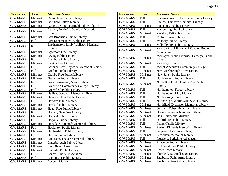| <b>NETWORK</b>  | <b>TYPE</b> | <b>MEMBER NAME</b>                               |
|-----------------|-------------|--------------------------------------------------|
| <b>C/W MARS</b> | Mini-net    | Dalton Free Public Library                       |
| <b>C/W MARS</b> | Mini-net    | Deerfield, Tilton Library                        |
| <b>C/W MARS</b> | Mini-net    | Douglas, Simon Fairfield Public Library          |
|                 |             | Dudley, Pearle L. Crawford Memorial              |
| <b>C/W MARS</b> | Mini-net    | Library                                          |
| <b>C/W MARS</b> | Mini-net    | East Brookfield Public Library                   |
| <b>C/W MARS</b> | Full        | East Longmeadow Public Library                   |
| <b>C/W MARS</b> | Full        | Easthampton, Emily Williston Memorial<br>Library |
| <b>C/W MARS</b> | Mini-net    | <b>Egremont Free Library</b>                     |
| <b>C/W MARS</b> | Mini-net    | <b>Erving Public Library</b>                     |
| <b>C/W MARS</b> | Full        | <b>Fitchburg Public Library</b>                  |
| <b>C/W MARS</b> | Mini-net    | Florida Free Library                             |
| <b>C/W MARS</b> | Full        | Gardner, Levi Heywood Memorial Library           |
| <b>C/W MARS</b> | Full        | <b>Grafton Public Library</b>                    |
| <b>C/W MARS</b> | Mini-net    | <b>Granby Free Public Library</b>                |
| <b>C/W MARS</b> | Mini-net    | Granville Public Library                         |
| <b>C/W MARS</b> | Full        | Great Barrington, Mason Library                  |
| <b>C/W MARS</b> | Full        | Greenfield Community College, Library            |
| <b>C/W MARS</b> | Full        | Greenfield Public Library                        |
| <b>C/W MARS</b> | Mini-net    | Hadley, Goodwin Memorial Library                 |
| <b>C/W MARS</b> | Mini-net    | Hampden Free Public Library                      |
| <b>C/W MARS</b> | Full        | Harvard Public Library                           |
| <b>C/W MARS</b> | Mini-net    | Hatfield Public Library                          |
| <b>C/W MARS</b> | Mini-net    | Heath Free Public Library                        |
| <b>C/W MARS</b> | Full        | Holden, Gale Free Library                        |
| <b>C/W MARS</b> | Mini-net    | <b>Holland Public Library</b>                    |
| <b>C/W MARS</b> | Full        | Holyoke Public Library                           |
| <b>C/W MARS</b> | Mini-net    | Hopedale, Bancroft Memorial Library              |
| C/W MARS        | Full        | Hopkinton Public Library                         |
| <b>C/W MARS</b> | Mini-net    | Hubbardston Public Library                       |
| <b>C/W MARS</b> | Full        | Hudson Public Library                            |
| <b>C/W MARS</b> | Mini-net    | Lancaster, Thayer Memorial Library               |
| C/W MARS        | Mini-net    | Lanesborough Public Library                      |
| <b>C/W MARS</b> | Mini-net    | Lee Library Association                          |
| <b>C/W MARS</b> | Mini-net    | Leicester Public Library                         |
| <b>C/W MARS</b> | Full        | Lenox Library Association                        |
| <b>C/W MARS</b> | Full        | Leominster Public Library                        |
| <b>C/W MARS</b> | Mini-net    | Leverett Library                                 |

| <b>NETWORK</b>  | <b>TYPE</b> | <b>MEMBER NAME</b>                                    |
|-----------------|-------------|-------------------------------------------------------|
| <b>C/W MARS</b> | Full        | Longmeadow, Richard Salter Storrs Library             |
| <b>C/W MARS</b> | Full        | Ludlow, Hubbard Memorial Library                      |
| <b>C/W MARS</b> | Mini-net    | Lunenburg Public Library                              |
| <b>C/W MARS</b> | Full        | Marlborough Public Library                            |
| <b>C/W MARS</b> | Mini-net    | Mendon, Taft Public Library                           |
| <b>C/W MARS</b> | Full        | Milford Town Library                                  |
| <b>C/W MARS</b> | Full        | Millbury Public Library                               |
| <b>C/W MARS</b> | Mini-net    | Millville Free Public Library                         |
| C/W MARS        | Mini-net    | Monson Free Library and Reading Room<br>Association   |
| <b>C/W MARS</b> | Mini-net    | Montague Public Libraries, Carnegie Public<br>Library |
| <b>C/W MARS</b> | Mini-net    | Monterey Library                                      |
| <b>C/W MARS</b> | Full        | Mount Wachusett Community College                     |
| <b>C/W MARS</b> | Mini-net    | New Marlborough Town Library                          |
| <b>C/W MARS</b> | Mini-net    | New Salem Public Library                              |
| <b>C/W MARS</b> | Full        | North Adams Public Library                            |
| <b>C/W MARS</b> | Mini-net    | North Brookfield, Haston Free Public<br>Library       |
| <b>C/W MARS</b> | Full        | Northampton, Forbes Library                           |
| <b>C/W MARS</b> | Full        | Northampton, Lilly Library                            |
| <b>C/W MARS</b> | Full        | Northborough Free Library                             |
| <b>C/W MARS</b> | Full        | Northbridge, Whitinsville Social Library              |
| <b>C/W MARS</b> | Mini-net    | Northfield, Dickinson Memorial Library                |
| <b>C/W MARS</b> | Mini-net    | Oakham, Fobes Memorial Library                        |
| <b>C/W MARS</b> | Mini-net    | Orange, Wheeler Memorial Library                      |
| C/W MARS        | Mini-net    | Otis Library and Museum                               |
| <b>C/W MARS</b> | Full        | <b>Oxford Free Public Library</b>                     |
| <b>C/W MARS</b> | Full        | Palmer Public Library                                 |
| <b>C/W MARS</b> | Mini-net    | Paxton, Richards Memorial Library                     |
| <b>C/W MARS</b> | Full        | Pepperell, Lawrence Library                           |
| C/W MARS        | Mini-net    | Petersham Memorial Library                            |
| <b>C/W MARS</b> | Full        | Pittsfield, Berkshire Athenaeum                       |
| C/W MARS        | Mini-net    | Princeton Public Library                              |
| C/W MARS        | Mini-net    | Richmond Free Public Library                          |
| C/W MARS        | Mini-net    | Rowe Town Library                                     |
| C/W MARS        | Mini-net    | Sheffield, Bushnell-Sage Library                      |
| <b>C/W MARS</b> | Mini-net    | Shelburne Falls, Arms Library                         |
| <b>C/W MARS</b> | Mini-net    | Shelburne Free Public Library                         |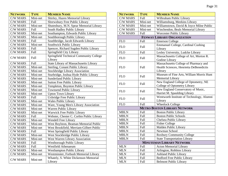| <b>NETWORK</b>  | <b>TYPE</b> | <b>MEMBER NAME</b>                                 |
|-----------------|-------------|----------------------------------------------------|
| <b>C/W MARS</b> | Mini-net    | Shirley, Hazen Memorial Library                    |
| <b>C/W MARS</b> | Full        | Shrewsbury Free Public Library                     |
| <b>C/W MARS</b> | Mini-net    | Shutesbury, M.N. Spear Memorial Library            |
| <b>C/W MARS</b> | Full        | South Hadley Public Library                        |
| <b>C/W MARS</b> | Mini-net    | Southampton, Edwards Public Library                |
| <b>C/W MARS</b> | Mini-net    | Southborough Public Library                        |
| <b>C/W MARS</b> | Full        | Southbridge, Jacob Edwards Library                 |
| C/W MARS        | Mini-net    | Southwick Public Library                           |
| <b>C/W MARS</b> | Full        | Spencer, Richard Sugden Public Library             |
| <b>C/W MARS</b> | Full        | Springfield City Library                           |
| C/W MARS        | Full        | Springfield Technical Community College<br>Library |
| <b>C/W MARS</b> | Full        | State Library of Massachusetts Library             |
| <b>C/W MARS</b> | Mini-net    | Sterling, Conant Public Library                    |
| <b>C/W MARS</b> | Mini-net    | <b>Stockbridge Library Association</b>             |
| <b>C/W MARS</b> | Mini-net    | Sturbridge, Joshua Hyde Public Library             |
| <b>C/W MARS</b> | Mini-net    | Sunderland Public Library                          |
| C/W MARS        | Mini-net    | <b>Sutton Free Public Library</b>                  |
| <b>C/W MARS</b> | Mini-net    | Templeton, Boynton Public Library                  |
| <b>C/W MARS</b> | Mini-net    | <b>Townsend Public Library</b>                     |
| <b>C/W MARS</b> | Mini-net    | <b>Upton Town Library</b>                          |
| <b>C/W MARS</b> | Full        | Uxbridge Free Public Library                       |
| <b>C/W MARS</b> | Mini-net    | <b>Wales Public Library</b>                        |
| <b>C/W MARS</b> | Mini-net    | Ware, Young Men's Library Association              |
| <b>C/W MARS</b> | Mini-net    | Warren Public Library                              |
| <b>C/W MARS</b> | Mini-net    | Warwick Free Public Library                        |
| <b>C/W MARS</b> | Full        | Webster, Chester C. Corbin Public Library          |
| <b>C/W MARS</b> | Mini-net    | Wendell Free Library                               |
| C/W MARS        | Mini-net    | West Boylston, Beaman Memorial Public              |
| <b>C/W MARS</b> | Mini-net    | West Brookfield, Merriam-Gilbert Public            |
| <b>C/W MARS</b> | Full        | West Springfield Public Library                    |
| <b>C/W MARS</b> | Mini-net    | West Stockbridge Public Library                    |
| C/W MARS        | Mini-net    | West Warren Library Association                    |
| <b>C/W MARS</b> | Full        | Westborough Public Library                         |
| <b>C/W MARS</b> | Full        | Westfield Athenaeum                                |
| <b>C/W MARS</b> | Mini-net    | <b>Westhampton Public Library</b>                  |
| C/W MARS        | Mini-net    | Westminster, Forbush Memorial Library              |
| <b>C/W MARS</b> | Mini-net    | Whately, S. White Dickenson Memorial<br>Library    |

| <b>NETWORK</b>  | <b>TYPE</b> | <b>MEMBER NAME</b>                                                                          |
|-----------------|-------------|---------------------------------------------------------------------------------------------|
| <b>C/W MARS</b> | Full        | Wilbraham Public Library                                                                    |
| C/W MARS        | Mini-net    | Williamsburg, Meekins Library                                                               |
| <b>C/W MARS</b> | Mini-net    | Williamstown, David & Joyce Milne Public                                                    |
| <b>C/W MARS</b> | Mini-net    | Winchendon, Beals Memorial Library                                                          |
| <b>C/W MARS</b> | Full        | Worcester Public Library                                                                    |
|                 |             | <b>FENWAY LIBRARY ORGANIZATION</b>                                                          |
| <b>FLO</b>      | Full        | <b>Emerson College</b>                                                                      |
| <b>FLO</b>      | Full        | Emmanuel College, Cardinal Cushing<br>Library                                               |
| <b>FLO</b>      | Full        | Lesley University, Ludcke Library                                                           |
| <b>FLO</b>      | Full        | Massachusetts College of Art, Morton R.<br>Godine Library                                   |
| <b>FLO</b>      | Full        | Massachusetts College of Pharmacy and<br>Health Sciences, Henrietta DeBenedictis<br>Library |
| <b>FLO</b>      | Full        | Museum of Fine Arts, William Morris Hunt<br><b>Memorial Library</b>                         |
| <b>FLO</b>      | Full        | New England College of Optometry, NE<br>College of Optometry Library                        |
| <b>FLO</b>      | Full        | New England Conservatory of Music,<br>Harriet M. Spaulding Library                          |
| <b>FLO</b>      | Full        | Wentworth Institute of Technology, Alumni<br>Library                                        |
| <b>FLO</b>      | Full        | <b>Wheelock College</b>                                                                     |
|                 |             | <b>METRO BOSTON LIBRARY NETWORK</b>                                                         |
| <b>MBLN</b>     | Full        | <b>Boston Public Library</b>                                                                |
| <b>MBLN</b>     | Full        | <b>Boston Public Schools</b>                                                                |
| <b>MBLN</b>     | Full        | Chelsea Public Library                                                                      |
| <b>MBLN</b>     | Full        | <b>Fisher College</b>                                                                       |
| <b>MBLN</b>     | Full        | Malden Public Library                                                                       |
| <b>MBLN</b>     | Full        | Newman School                                                                               |
| <b>MBLN</b>     | Full        | Roxbury Community College                                                                   |
| <b>MBLN</b>     | Full        | <b>State Transportation Library</b>                                                         |
|                 |             | <b>MINUTEMAN LIBRARY NETWORK</b>                                                            |
| <b>MLN</b>      | Full        | <b>Acton Memorial Library</b>                                                               |
| <b>MLN</b>      | Full        | Arlington, Robbins Library                                                                  |
| <b>MLN</b>      | Full        | <b>Ashland Public Library</b>                                                               |
| <b>MLN</b>      | Full        | <b>Bedford Free Public Library</b>                                                          |
| <b>MLN</b>      | <b>Full</b> | <b>Belmont Public Library</b>                                                               |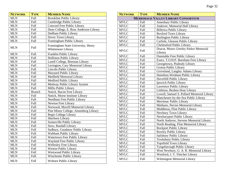| <b>NETWORK</b> | <b>TYPE</b>   | <b>MEMBER NAME</b>                                       |
|----------------|---------------|----------------------------------------------------------|
| <b>MLN</b>     | Full          | <b>Brookline Public Library</b>                          |
| <b>MLN</b>     | Full          | Cambridge Public Library                                 |
| <b>MLN</b>     | Full          | Concord Free Public Library                              |
| <b>MLN</b>     | Full          | Dean College, E. Ross Anderson Library                   |
| <b>MLN</b>     | Full          | Dedham Public Library                                    |
| <b>MLN</b>     | Full          | Dover Town Library                                       |
| <b>MLN</b>     | <b>Full</b>   | Framingham Public Library                                |
| <b>MLN</b>     | Full          | Framingham State University, Henry<br>Whittemore Library |
| <b>MLN</b>     | Full          | Franklin Public Library                                  |
| <b>MLN</b>     | Full          | Holliston Public Library                                 |
| <b>MLN</b>     | Full          | Lasell College, Brennan Library                          |
| <b>MLN</b>     | Full          | Lexington, Cary Memorial Library                         |
| <b>MLN</b>     | Full          | Lincoln Public Library                                   |
| <b>MLN</b>     | Full          | Maynard Public Library                                   |
| <b>MLN</b>     | Full          | Medfield Memorial Library                                |
| <b>MLN</b>     | Full          | Medford Public Library                                   |
| <b>MLN</b>     | Full          | Medway Public Library System                             |
| <b>MLN</b>     | Full          | Millis Public Library                                    |
| <b>MLN</b>     | <b>Branch</b> | Natick, Bacon Free Library                               |
| <b>MLN</b>     | Full          | Natick, Morse Institute Library                          |
| <b>MLN</b>     | Full          | Needham Free Public Library                              |
| <b>MLN</b>     | Full          | Newton Free Library                                      |
| <b>MLN</b>     | Full          | Norwood, Morrill Memorial Library                        |
| <b>MLN</b>     | Full          | Pine Minor College, Annenberg Library                    |
| <b>MLN</b>     | Full          | Regis College Library                                    |
| <b>MLN</b>     | Full          | Sherborn Library                                         |
| <b>MLN</b>     | Full          | Somerville Public Library                                |
| <b>MLN</b>     | Full          | Stow, Randall Library                                    |
| <b>MLN</b>     | Full          | Sudbury, Goodnow Public Library                          |
| <b>MLN</b>     | Full          | Waltham Public Library                                   |
| <b>MLN</b>     | Full          | Watertown Free Public Library                            |
| <b>MLN</b>     | Full          | Wayland Free Public Library                              |
| <b>MLN</b>     | Full          | <b>Wellesley Free Library</b>                            |
| <b>MLN</b>     | Full          | <b>Weston Public Library</b>                             |
| <b>MLN</b>     | Full          | Westwood Public Library                                  |
| MLN            | Full          | Winchester Public Library                                |
| <b>MLN</b>     | Full          | Woburn Public Library                                    |

| <b>NETWORK</b> | <b>TYPE</b> | <b>MEMBER NAME</b>                         |
|----------------|-------------|--------------------------------------------|
|                |             | <b>MERRIMACK VALLEY LIBRARY CONSORTIUM</b> |
| <b>MVLC</b>    | Full        | Amesbury Public Library                    |
| <b>MVLC</b>    | Full        | Andover, Memorial Hall Library             |
| <b>MVLC</b>    | Full        | <b>Billerica Public Library</b>            |
| <b>MVLC</b>    | Full        | <b>Boxford Town Library</b>                |
| <b>MVLC</b>    | <b>Full</b> | <b>Burlington Public Library</b>           |
| <b>MVLC</b>    | <b>Full</b> | Carlisle, Gleason Public Library           |
| <b>MVLC</b>    | <b>Full</b> | <b>Chelmsford Public Library</b>           |
| <b>MVLC</b>    | Full        | Dracut, Moses Greeley Parker Memorial      |
|                |             | Library                                    |
| <b>MVLC</b>    | Full        | Dunstable Free Public Library              |
| <b>MVLC</b>    | Full        | Essex, T.O.H.P. Burnham Free Library       |
| <b>MVLC</b>    | Full        | Georgetown, Peabody Library                |
| <b>MVLC</b>    | Full        | <b>Groton Public Library</b>               |
| <b>MVLC</b>    | Full        | Groveland, Langley Adams Library           |
| <b>MVLC</b>    | Full        | Hamilton-Wenham Public Library             |
| <b>MVLC</b>    | Full        | Haverhill Public Library                   |
| <b>MVLC</b>    | <b>Full</b> | Ipswich Public Library                     |
| <b>MVLC</b>    | Full        | Lawrence Public Library                    |
| <b>MVLC</b>    | Full        | Littleton, Reuben Hoar Library             |
| <b>MVLC</b>    | Full        | Lowell, Samuel S. Pollard Memorial Library |
| <b>MVLC</b>    | Full        | Manchester-by-the-Sea Public Library       |
| <b>MVLC</b>    | Full        | Merrimac Public Library                    |
| <b>MVLC</b>    | <b>Full</b> | Methuen, Nevins Memorial Library           |
| <b>MVLC</b>    | Full        | Middleton, Flint Public Library            |
| <b>MVLC</b>    | Full        | Newbury Town Library                       |
| <b>MVLC</b>    | Full        | Newburyport Public Library                 |
| <b>MVLC</b>    | Full        | North Andover, Stevens Memorial Library    |
| <b>MVLC</b>    | Full        | North Reading, Flint Memorial Library      |
| <b>MVLC</b>    | Full        | Rockport Public Library                    |
| <b>MVLC</b>    | Full        | Rowley Public Library                      |
| <b>MVLC</b>    | Full        | Salisbury Public Library                   |
| <b>MVLC</b>    | Full        | Tewksbury Public Library                   |
| <b>MVLC</b>    | Full        | <b>Topsfield Town Library</b>              |
| <b>MVLC</b>    | Full        | Tyngsborough Public Library                |
| <b>MVLC</b>    | Full        | West Newbury, G. A. R. Memorial Library    |
| <b>MVLC</b>    | Full        | Westford, J. V. Fletcher Library           |
| <b>MVLC</b>    | Full        | Wilmington Memorial Library                |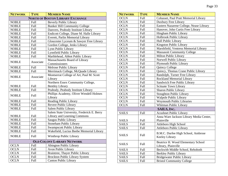| <b>NETWORK</b> | <b>TYPE</b> | <b>MEMBER NAME</b>                         |
|----------------|-------------|--------------------------------------------|
|                |             | <b>NORTH OF BOSTON LIBRARY EXCHANGE</b>    |
| <b>NOBLE</b>   | <b>Full</b> | <b>Beverly Public Library</b>              |
| <b>NOBLE</b>   | Full        | <b>Bunker Hill Community College</b>       |
| <b>NOBLE</b>   | Full        | Danvers, Peabody Institute Library         |
| <b>NOBLE</b>   | Full        | Endicott College, Diane M. Halle Library   |
| <b>NOBLE</b>   | Full        | Everett, Parlin Memorial Library           |
| <b>NOBLE</b>   | Full        | Gloucester Lyceum & Sawyer Free Library    |
| <b>NOBLE</b>   | Full        | Gordon College, Jenks Library              |
| <b>NOBLE</b>   | Full        | Lynn Public Library                        |
| <b>NOBLE</b>   | Full        | Lynnfield Public Library                   |
| <b>NOBLE</b>   | Full        | Marblehead, Abbot Public Library           |
| <b>NOBLE</b>   | Associate   | Massachusetts Board of Library             |
|                |             | Commissioners                              |
| <b>NOBLE</b>   | Full        | Melrose Public Library                     |
| <b>NOBLE</b>   | Full        | Merrimack College, McQuade Library         |
| <b>NOBLE</b>   | Associate   | Montserrat College of Art, Paul M. Scott   |
|                |             | Library                                    |
|                |             | Northern Essex Community College,          |
| <b>NOBLE</b>   | Full        | <b>Bentley Library</b>                     |
| <b>NOBLE</b>   | Full        | Peabody, Peabody Institute Library         |
| <b>NOBLE</b>   | Full        | Phillips Academy, Oliver Wendell Holmes    |
|                |             | Library                                    |
| <b>NOBLE</b>   | Full        | Reading Public Library                     |
| <b>NOBLE</b>   | Full        | Revere Public Library                      |
| <b>NOBLE</b>   | Full        | Salem Public Library                       |
|                |             | Salem State University, Frederick E. Berry |
| <b>NOBLE</b>   | Full        | Library and Learning Commons               |
| <b>NOBLE</b>   | Full        | Saugus Public Library                      |
| <b>NOBLE</b>   | Full        | Stoneham Public Library                    |
| <b>NOBLE</b>   | Full        | <b>Swampscott Public Library</b>           |
| <b>NOBLE</b>   | Full        | Wakefield, Lucius Beebe Memorial Library   |
| <b>NOBLE</b>   | Full        | Winthrop Public Library                    |
|                |             | <b>OLD COLONY LIBRARY NETWORK</b>          |
| <b>OCLN</b>    | Full        | <b>Abington Public Library</b>             |
| <b>OCLN</b>    | Full        | Avon Public Library                        |
| <b>OCLN</b>    | Full        | Braintree, Thayer Public Library           |
| <b>OCLN</b>    | Full        | <b>Brockton Public Library System</b>      |
| <b>OCLN</b>    | Full        | <b>Canton Public Library</b>               |

| <b>NETWORK</b> | <b>TYPE</b> | <b>MEMBER NAME</b>                                        |
|----------------|-------------|-----------------------------------------------------------|
| <b>OCLN</b>    | <b>Full</b> | Cohasset, Paul Pratt Memorial Library                     |
| <b>OCLN</b>    | Full        | Duxbury Free Library                                      |
| <b>OCLN</b>    | Full        | Eastern Nazarene College, Nease Library                   |
| <b>OCLN</b>    | Full        | Hanover, John Curtis Free Library                         |
| <b>OCLN</b>    | Full        | Hingham Public Library                                    |
| <b>OCLN</b>    | Full        | Holbrook Public Library                                   |
| <b>OCLN</b>    | Full        | Hull Public Library                                       |
| <b>OCLN</b>    | Full        | Kingston Public Library                                   |
| <b>OCLN</b>    | Full        | Marshfield, Ventress Memorial Library                     |
| <b>OCLN</b>    | Full        | <b>Massasoit Community College</b>                        |
| <b>OCLN</b>    | Full        | Milton Public Library                                     |
| <b>OCLN</b>    | Full        | Norwell Public Library                                    |
| <b>OCLN</b>    | Full        | <b>Plymouth Public Library</b>                            |
| <b>OCLN</b>    | Full        | Quincy College                                            |
| <b>OCLN</b>    | Full        | Quincy, Thomas Crane Public Library                       |
| <b>OCLN</b>    | Full        | Randolph, Turner Free Library                             |
| <b>OCLN</b>    | Full        | Rockland Memorial Library                                 |
| <b>OCLN</b>    | Full        | Sandwich Free Public Library                              |
| <b>OCLN</b>    | Full        | <b>Scituate Town Library</b>                              |
| <b>OCLN</b>    | Full        | Sharon Public Library                                     |
| <b>OCLN</b>    | Full        | <b>Stoughton Public Library</b>                           |
| <b>OCLN</b>    | Full        | Walpole Public Library                                    |
| <b>OCLN</b>    | Full        | <b>Weymouth Public Libraries</b>                          |
| <b>OCLN</b>    | Full        | Whitman Public Library                                    |
|                |             | SAILS, INC.                                               |
| <b>SAILS</b>   | Full        | <b>Acushnet Public Library</b>                            |
|                |             | Anna Ware Jackson Library Media Center,                   |
| <b>SAILS</b>   | Full        | Plainville                                                |
| <b>SAILS</b>   | Full        | Attleboro High School                                     |
| <b>SAILS</b>   | Full        | Attleboro Public Library                                  |
| <b>SAILS</b>   | Full        | B.M.C. Durfee High School, Ambrose<br>Keeley Library      |
| <b>SAILS</b>   | <b>Full</b> | Beatrice H. Wood Elementary School<br>Library, Plainville |
| <b>SAILS</b>   | Full        | Beckwith Middle School, Rehoboth                          |
| <b>SAILS</b>   | Full        | <b>Berkley Public Library</b>                             |
| <b>SAILS</b>   | <b>Full</b> | <b>Bridgewater Public Library</b>                         |
| <b>SAILS</b>   | Full        | <b>Bristol Community College</b>                          |